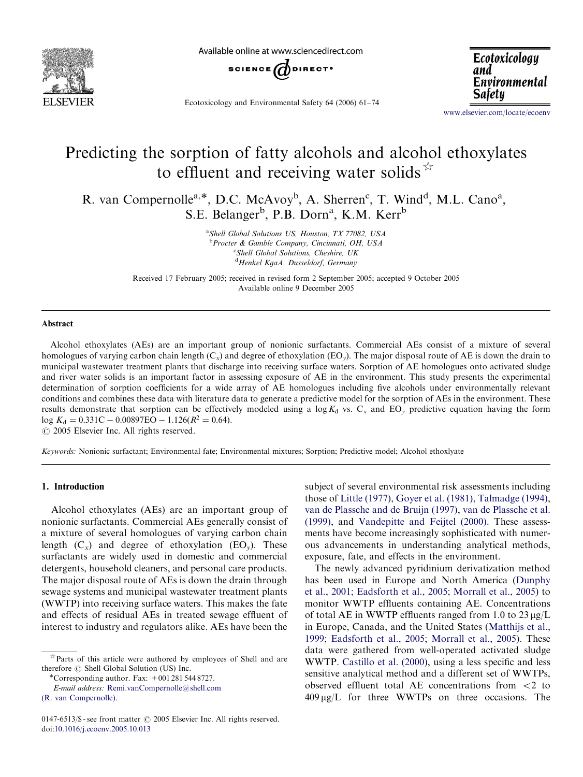

Available online at www sciencedirect com



Ecotoxicology and Environmental Safety 64 (2006) 61–74

Ecotoxicology and Environmental **Safety** 

<www.elsevier.com/locate/ecoenv>

# Predicting the sorption of fatty alcohols and alcohol ethoxylates to effluent and receiving water solids  $\overrightarrow{x}$

R. van Compernolle<sup>a,\*</sup>, D.C. McAvoy<sup>b</sup>, A. Sherren<sup>c</sup>, T. Wind<sup>d</sup>, M.L. Cano<sup>a</sup>, S.E. Belanger<sup>b</sup>, P.B. Dorn<sup>a</sup>, K.M. Kerr<sup>b</sup>

> <sup>a</sup> Shell Global Solutions US, Houston, TX 77082, USA <sup>b</sup> Procter & Gamble Company, Cincinnati, OH, USA <sup>c</sup>Shell Global Solutions, Cheshire, UK <sup>d</sup> Henkel KgaA, Dusseldorf, Germany

Received 17 February 2005; received in revised form 2 September 2005; accepted 9 October 2005 Available online 9 December 2005

## Abstract

Alcohol ethoxylates (AEs) are an important group of nonionic surfactants. Commercial AEs consist of a mixture of several homologues of varying carbon chain length  $(C_x)$  and degree of ethoxylation  $(EO_y)$ . The major disposal route of AE is down the drain to municipal wastewater treatment plants that discharge into receiving surface waters. Sorption of AE homologues onto activated sludge and river water solids is an important factor in assessing exposure of AE in the environment. This study presents the experimental determination of sorption coefficients for a wide array of AE homologues including five alcohols under environmentally relevant conditions and combines these data with literature data to generate a predictive model for the sorption of AEs in the environment. These results demonstrate that sorption can be effectively modeled using a  $\log K_d$  vs.  $C_x$  and  $EO_y$  predictive equation having the form  $\log K_d = 0.331C - 0.00897EO - 1.126(R^2 = 0.64).$ 

 $\odot$  2005 Elsevier Inc. All rights reserved.

Keywords: Nonionic surfactant; Environmental fate; Environmental mixtures; Sorption; Predictive model; Alcohol ethoxlyate

## 1. Introduction

Alcohol ethoxylates (AEs) are an important group of nonionic surfactants. Commercial AEs generally consist of a mixture of several homologues of varying carbon chain length  $(C_x)$  and degree of ethoxylation  $(EO_v)$ . These surfactants are widely used in domestic and commercial detergents, household cleaners, and personal care products. The major disposal route of AEs is down the drain through sewage systems and municipal wastewater treatment plants (WWTP) into receiving surface waters. This makes the fate and effects of residual AEs in treated sewage effluent of interest to industry and regulators alike. AEs have been the

subject of several environmental risk assessments including those of [Little \(1977\),](#page-13-0) [Goyer et al. \(1981\)](#page-13-0), [Talmadge \(1994\),](#page-13-0) [van de Plassche and de Bruijn \(1997\),](#page-13-0) [van de Plassche et al.](#page-13-0) [\(1999\)](#page-13-0), and [Vandepitte and Feijtel \(2000\)](#page-13-0). These assessments have become increasingly sophisticated with numerous advancements in understanding analytical methods, exposure, fate, and effects in the environment.

The newly advanced pyridinium derivatization method has been used in Europe and North America [\(Dunphy](#page-13-0) [et al., 2001;](#page-13-0) [Eadsforth et al., 2005](#page-13-0); [Morrall et al., 2005](#page-13-0)) to monitor WWTP effluents containing AE. Concentrations of total AE in WWTP effluents ranged from 1.0 to  $23 \mu g/L$ in Europe, Canada, and the United States [\(Matthijs et al.,](#page-13-0) [1999](#page-13-0); [Eadsforth et al., 2005](#page-13-0); [Morrall et al., 2005\)](#page-13-0). These data were gathered from well-operated activated sludge WWTP. [Castillo et al. \(2000\)](#page-13-0), using a less specific and less sensitive analytical method and a different set of WWTPs, observed effluent total AE concentrations from  $\langle 2 \rangle$  to  $409 \mu g/L$  for three WWTPs on three occasions. The

 $*$  Parts of this article were authored by employees of Shell and are therefore  $\circledcirc$  Shell Global Solution (US) Inc. \* Corresponding author. Fax: +001 281 544 8727.

E-mail address: [Remi.vanCompernolle@shell.com](mailto:Remi.vanCompernolle@shell.com)

[<sup>\(</sup>R. van Compernolle\).](mailto:Remi.vanCompernolle@shell.com)

<sup>0147-6513/\$ -</sup> see front matter  $\odot$  2005 Elsevier Inc. All rights reserved. doi:[10.1016/j.ecoenv.2005.10.013](dx.doi.org/10.1016/j.ecoenv.2005.10.013)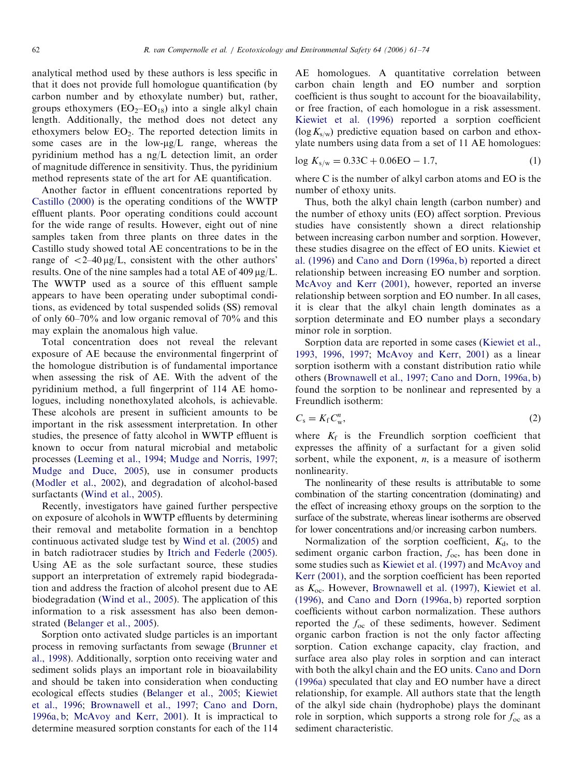analytical method used by these authors is less specific in that it does not provide full homologue quantification (by carbon number and by ethoxylate number) but, rather, groups ethoxymers  $(EO<sub>2</sub> – EO<sub>18</sub>)$  into a single alkyl chain length. Additionally, the method does not detect any ethoxymers below  $EO<sub>2</sub>$ . The reported detection limits in some cases are in the low- $\mu$ g/L range, whereas the pyridinium method has a ng/L detection limit, an order of magnitude difference in sensitivity. Thus, the pyridinium method represents state of the art for AE quantification.

Another factor in effluent concentrations reported by [Castillo \(2000\)](#page-13-0) is the operating conditions of the WWTP effluent plants. Poor operating conditions could account for the wide range of results. However, eight out of nine samples taken from three plants on three dates in the Castillo study showed total AE concentrations to be in the range of  $\langle 2-40 \mu g/L$ , consistent with the other authors' results. One of the nine samples had a total AE of  $409 \mu g/L$ . The WWTP used as a source of this effluent sample appears to have been operating under suboptimal conditions, as evidenced by total suspended solids (SS) removal of only 60–70% and low organic removal of 70% and this may explain the anomalous high value.

Total concentration does not reveal the relevant exposure of AE because the environmental fingerprint of the homologue distribution is of fundamental importance when assessing the risk of AE. With the advent of the pyridinium method, a full fingerprint of 114 AE homologues, including nonethoxylated alcohols, is achievable. These alcohols are present in sufficient amounts to be important in the risk assessment interpretation. In other studies, the presence of fatty alcohol in WWTP effluent is known to occur from natural microbial and metabolic processes [\(Leeming et al., 1994](#page-13-0); [Mudge and Norris, 1997](#page-13-0); [Mudge and Duce, 2005\)](#page-13-0), use in consumer products [\(Modler et al., 2002](#page-13-0)), and degradation of alcohol-based surfactants [\(Wind et al., 2005\)](#page-13-0).

Recently, investigators have gained further perspective on exposure of alcohols in WWTP effluents by determining their removal and metabolite formation in a benchtop continuous activated sludge test by [Wind et al. \(2005\)](#page-13-0) and in batch radiotracer studies by [Itrich and Federle \(2005\)](#page-13-0). Using AE as the sole surfactant source, these studies support an interpretation of extremely rapid biodegradation and address the fraction of alcohol present due to AE biodegradation [\(Wind et al., 2005](#page-13-0)). The application of this information to a risk assessment has also been demonstrated ([Belanger et al., 2005\)](#page-13-0).

Sorption onto activated sludge particles is an important process in removing surfactants from sewage ([Brunner et](#page-13-0) [al., 1998\)](#page-13-0). Additionally, sorption onto receiving water and sediment solids plays an important role in bioavailability and should be taken into consideration when conducting ecological effects studies ([Belanger et al., 2005](#page-13-0); [Kiewiet](#page-13-0) [et al., 1996](#page-13-0); [Brownawell et al., 1997;](#page-13-0) [Cano and Dorn,](#page-13-0) [1996a, b;](#page-13-0) [McAvoy and Kerr, 2001](#page-13-0)). It is impractical to determine measured sorption constants for each of the 114

AE homologues. A quantitative correlation between carbon chain length and EO number and sorption coefficient is thus sought to account for the bioavailability, or free fraction, of each homologue in a risk assessment. [Kiewiet et al. \(1996\)](#page-13-0) reported a sorption coefficient  $(\log K_{s/w})$  predictive equation based on carbon and ethoxylate numbers using data from a set of 11 AE homologues:

$$
\log K_{s/w} = 0.33 \text{C} + 0.06 \text{EO} - 1.7,\tag{1}
$$

where C is the number of alkyl carbon atoms and EO is the number of ethoxy units.

Thus, both the alkyl chain length (carbon number) and the number of ethoxy units (EO) affect sorption. Previous studies have consistently shown a direct relationship between increasing carbon number and sorption. However, these studies disagree on the effect of EO units. [Kiewiet et](#page-13-0) [al. \(1996\)](#page-13-0) and [Cano and Dorn \(1996a, b\)](#page-13-0) reported a direct relationship between increasing EO number and sorption. [McAvoy and Kerr \(2001\)](#page-13-0), however, reported an inverse relationship between sorption and EO number. In all cases, it is clear that the alkyl chain length dominates as a sorption determinate and EO number plays a secondary minor role in sorption.

Sorption data are reported in some cases [\(Kiewiet et al.,](#page-13-0) [1993, 1996, 1997](#page-13-0); [McAvoy and Kerr, 2001](#page-13-0)) as a linear sorption isotherm with a constant distribution ratio while others [\(Brownawell et al., 1997;](#page-13-0) [Cano and Dorn, 1996a, b](#page-13-0)) found the sorption to be nonlinear and represented by a Freundlich isotherm:

$$
C_{\rm s}=K_{\rm f}C_{\rm w}^n,\tag{2}
$$

where  $K_f$  is the Freundlich sorption coefficient that expresses the affinity of a surfactant for a given solid sorbent, while the exponent,  $n$ , is a measure of isotherm nonlinearity.

The nonlinearity of these results is attributable to some combination of the starting concentration (dominating) and the effect of increasing ethoxy groups on the sorption to the surface of the substrate, whereas linear isotherms are observed for lower concentrations and/or increasing carbon numbers.

Normalization of the sorption coefficient,  $K_d$ , to the sediment organic carbon fraction,  $f_{\text{oc}}$ , has been done in some studies such as [Kiewiet et al. \(1997\)](#page-13-0) and [McAvoy and](#page-13-0) [Kerr \(2001\)](#page-13-0), and the sorption coefficient has been reported as  $K_{\text{oc}}$ . However, [Brownawell et al. \(1997\),](#page-13-0) [Kiewiet et al.](#page-13-0) [\(1996\)](#page-13-0), and [Cano and Dorn \(1996a, b\)](#page-13-0) reported sorption coefficients without carbon normalization. These authors reported the  $f_{\rm oc}$  of these sediments, however. Sediment organic carbon fraction is not the only factor affecting sorption. Cation exchange capacity, clay fraction, and surface area also play roles in sorption and can interact with both the alkyl chain and the EO units. [Cano and Dorn](#page-13-0) [\(1996a\)](#page-13-0) speculated that clay and EO number have a direct relationship, for example. All authors state that the length of the alkyl side chain (hydrophobe) plays the dominant role in sorption, which supports a strong role for  $f_{\text{oc}}$  as a sediment characteristic.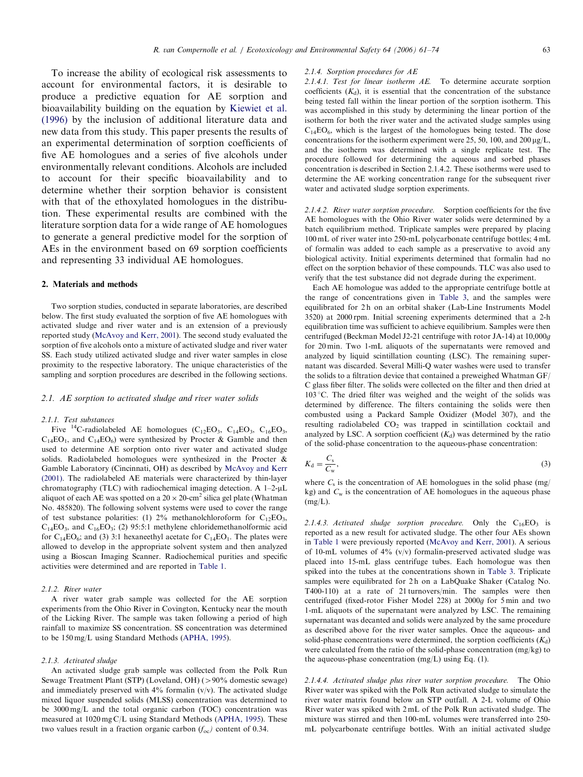To increase the ability of ecological risk assessments to account for environmental factors, it is desirable to produce a predictive equation for AE sorption and bioavailability building on the equation by [Kiewiet et al.](#page-13-0) [\(1996\)](#page-13-0) by the inclusion of additional literature data and new data from this study. This paper presents the results of an experimental determination of sorption coefficients of five AE homologues and a series of five alcohols under environmentally relevant conditions. Alcohols are included to account for their specific bioavailability and to determine whether their sorption behavior is consistent with that of the ethoxylated homologues in the distribution. These experimental results are combined with the literature sorption data for a wide range of AE homologues to generate a general predictive model for the sorption of AEs in the environment based on 69 sorption coefficients and representing 33 individual AE homologues.

#### 2. Materials and methods

Two sorption studies, conducted in separate laboratories, are described below. The first study evaluated the sorption of five AE homologues with activated sludge and river water and is an extension of a previously reported study ([McAvoy and Kerr, 2001](#page-13-0)). The second study evaluated the sorption of five alcohols onto a mixture of activated sludge and river water SS. Each study utilized activated sludge and river water samples in close proximity to the respective laboratory. The unique characteristics of the sampling and sorption procedures are described in the following sections.

#### 2.1. AE sorption to activated sludge and river water solids

#### 2.1.1. Test substances

Five  ${}^{14}$ C-radiolabeled AE homologues (C<sub>12</sub>EO<sub>3</sub>, C<sub>14</sub>EO<sub>3</sub>, C<sub>16</sub>EO<sub>3</sub>,  $C_{14}EO_1$ , and  $C_{14}EO_6$ ) were synthesized by Procter & Gamble and then used to determine AE sorption onto river water and activated sludge solids. Radiolabeled homologues were synthesized in the Procter & Gamble Laboratory (Cincinnati, OH) as described by [McAvoy and Kerr](#page-13-0) [\(2001\).](#page-13-0) The radiolabeled AE materials were characterized by thin-layer chromatography (TLC) with radiochemical imaging detection. A  $1-2-\mu L$ aliquot of each AE was spotted on a 20  $\times$  20-cm $^2$  silica gel plate (Whatman No. 485820). The following solvent systems were used to cover the range of test substance polarities: (1) 2% methanolchloroform for  $C_{12}EO_3$ ,  $C_{14}EO_3$ , and  $C_{16}EO_3$ ; (2) 95:5:1 methylene chloridemethanolformic acid for  $C_{14}EO_6$ ; and (3) 3:1 hexaneethyl acetate for  $C_{14}EO_1$ . The plates were allowed to develop in the appropriate solvent system and then analyzed using a Bioscan Imaging Scanner. Radiochemical purities and specific activities were determined and are reported in [Table 1](#page-3-0).

#### 2.1.2. River water

A river water grab sample was collected for the AE sorption experiments from the Ohio River in Covington, Kentucky near the mouth of the Licking River. The sample was taken following a period of high rainfall to maximize SS concentration. SS concentration was determined to be 150 mg/L using Standard Methods [\(APHA, 1995](#page-12-0)).

## 2.1.3. Activated sludge

An activated sludge grab sample was collected from the Polk Run Sewage Treatment Plant (STP) (Loveland, OH)  $(>90\%$  domestic sewage) and immediately preserved with  $4\%$  formalin (v/v). The activated sludge mixed liquor suspended solids (MLSS) concentration was determined to be 3000 mg/L and the total organic carbon (TOC) concentration was measured at 1020 mg C/L using Standard Methods [\(APHA, 1995](#page-12-0)). These two values result in a fraction organic carbon  $(f_{\rm oc})$  content of 0.34.

#### 2.1.4. Sorption procedures for AE

2.1.4.1. Test for linear isotherm AE. To determine accurate sorption coefficients  $(K_d)$ , it is essential that the concentration of the substance being tested fall within the linear portion of the sorption isotherm. This was accomplished in this study by determining the linear portion of the isotherm for both the river water and the activated sludge samples using  $C_{14}EO_6$ , which is the largest of the homologues being tested. The dose concentrations for the isotherm experiment were 25, 50, 100, and 200  $\mu$ g/L, and the isotherm was determined with a single replicate test. The procedure followed for determining the aqueous and sorbed phases concentration is described in Section 2.1.4.2. These isotherms were used to determine the AE working concentration range for the subsequent river water and activated sludge sorption experiments.

2.1.4.2. River water sorption procedure. Sorption coefficients for the five AE homologues with the Ohio River water solids were determined by a batch equilibrium method. Triplicate samples were prepared by placing 100 mL of river water into 250-mL polycarbonate centrifuge bottles; 4 mL of formalin was added to each sample as a preservative to avoid any biological activity. Initial experiments determined that formalin had no effect on the sorption behavior of these compounds. TLC was also used to verify that the test substance did not degrade during the experiment.

Each AE homologue was added to the appropriate centrifuge bottle at the range of concentrations given in [Table 3,](#page-6-0) and the samples were equilibrated for 2h on an orbital shaker (Lab-Line Instruments Model 3520) at 2000 rpm. Initial screening experiments determined that a 2-h equilibration time was sufficient to achieve equilibrium. Samples were then centrifuged (Beckman Model J2-21 centrifuge with rotor JA-14) at 10,000g for 20 min. Two 1-mL aliquots of the supernatants were removed and analyzed by liquid scintillation counting (LSC). The remaining supernatant was discarded. Several Milli-Q water washes were used to transfer the solids to a filtration device that contained a preweighed Whatman GF/ C glass fiber filter. The solids were collected on the filter and then dried at 103 *1*C. The dried filter was weighed and the weight of the solids was determined by difference. The filters containing the solids were then combusted using a Packard Sample Oxidizer (Model 307), and the resulting radiolabeled  $CO<sub>2</sub>$  was trapped in scintillation cocktail and analyzed by LSC. A sorption coefficient  $(K_d)$  was determined by the ratio of the solid-phase concentration to the aqueous-phase concentration:

$$
K_{\rm d} = \frac{C_{\rm s}}{C_{\rm w}},\tag{3}
$$

where  $C_s$  is the concentration of AE homologues in the solid phase (mg/ kg) and  $C_w$  is the concentration of AE homologues in the aqueous phase (mg/L).

2.1.4.3. Activated sludge sorption procedure. Only the  $C_{16}EO_3$  is reported as a new result for activated sludge. The other four AEs shown in [Table 1](#page-3-0) were previously reported ([McAvoy and Kerr, 2001\)](#page-13-0). A serious of 10-mL volumes of 4% (v/v) formalin-preserved activated sludge was placed into 15-mL glass centrifuge tubes. Each homologue was then spiked into the tubes at the concentrations shown in [Table 3.](#page-6-0) Triplicate samples were equilibrated for 2h on a LabQuake Shaker (Catalog No. T400-110) at a rate of 21 turnovers/min. The samples were then centrifuged (fixed-rotor Fisher Model 228) at 2000g for 5 min and two 1-mL aliquots of the supernatant were analyzed by LSC. The remaining supernatant was decanted and solids were analyzed by the same procedure as described above for the river water samples. Once the aqueous- and solid-phase concentrations were determined, the sorption coefficients  $(K_d)$ were calculated from the ratio of the solid-phase concentration (mg/kg) to the aqueous-phase concentration (mg/L) using Eq. (1).

2.1.4.4. Activated sludge plus river water sorption procedure. The Ohio River water was spiked with the Polk Run activated sludge to simulate the river water matrix found below an STP outfall. A 2-L volume of Ohio River water was spiked with 2 mL of the Polk Run activated sludge. The mixture was stirred and then 100-mL volumes were transferred into 250 mL polycarbonate centrifuge bottles. With an initial activated sludge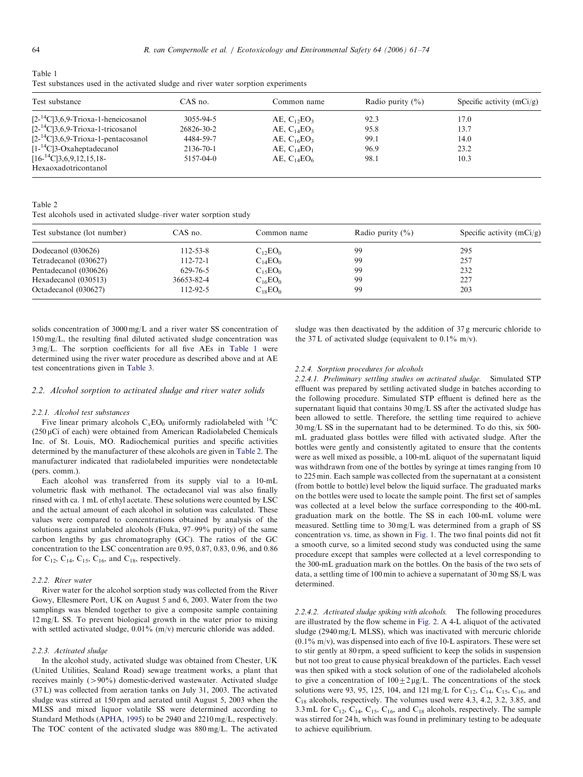<span id="page-3-0"></span>

| Table 1                                                                           |  |  |  |  |
|-----------------------------------------------------------------------------------|--|--|--|--|
| Test substances used in the activated sludge and river water sorption experiments |  |  |  |  |

| Test substance                             | $CAS$ no.  | Common name                            | Radio purity $(\% )$ | Specific activity $(mCi/g)$ |
|--------------------------------------------|------------|----------------------------------------|----------------------|-----------------------------|
| $[2^{-14}C]3, 6, 9$ -Trioxa-1-heneicosanol | 3055-94-5  | AE, $C_1$ <sub>2</sub> EO <sub>3</sub> | 92.3                 | 17.0                        |
| $[2^{-14}C]$ 3,6,9-Trioxa-1-tricosanol     | 26826-30-2 | AE, $C_{14}EO_3$                       | 95.8                 | 13.7                        |
| $[2^{-14}C]3, 6, 9$ -Trioxa-1-pentacosanol | 4484-59-7  | AE, $C_{16}EO_3$                       | 99.1                 | 14.0                        |
| $[1 - {^{14}C}]$ 3-Oxaheptadecanol         | 2136-70-1  | AE, $C_{14}EO_1$                       | 96.9                 | 23.2                        |
| $[16^{-14}C]3, 6, 9, 12, 15, 18-$          | 5157-04-0  | AE, $C_{14}EO_6$                       | 98.1                 | 10.3                        |
| Hexaoxadotricontanol                       |            |                                        |                      |                             |

Table 2

Test alcohols used in activated sludge–river water sorption study

| Test substance (lot number) | CAS no.        | Common name  | Radio purity $(\% )$ | Specific activity $(mCi/g)$ |
|-----------------------------|----------------|--------------|----------------------|-----------------------------|
| Dodecanol (030626)          | $112 - 53 - 8$ | $C_{12}EO_0$ | 99                   | 295                         |
| Tetradecanol (030627)       | $112 - 72 - 1$ | $C_{14}EO_0$ | 99                   | 257                         |
| Pentadecanol (030626)       | 629-76-5       | $C_{15}EO_0$ | 99                   | 232                         |
| Hexadecanol (030513)        | 36653-82-4     | $C_{16}EO_0$ | 99                   | 227                         |
| Octadecanol (030627)        | 112-92-5       | $C_{18}EO_0$ | 99                   | 203                         |

solids concentration of 3000 mg/L and a river water SS concentration of 150 mg/L, the resulting final diluted activated sludge concentration was 3 mg/L. The sorption coefficients for all five AEs in Table 1 were determined using the river water procedure as described above and at AE test concentrations given in [Table 3.](#page-6-0)

#### 2.2. Alcohol sorption to activated sludge and river water solids

#### 2.2.1. Alcohol test substances

Five linear primary alcohols  $C_xEO_0$  uniformly radiolabeled with <sup>14</sup>C  $(250 \,\mu\text{Ci of each})$  were obtained from American Radiolabeled Chemicals Inc. of St. Louis, MO. Radiochemical purities and specific activities determined by the manufacturer of these alcohols are given in Table 2. The manufacturer indicated that radiolabeled impurities were nondetectable (pers. comm.).

Each alcohol was transferred from its supply vial to a 10-mL volumetric flask with methanol. The octadecanol vial was also finally rinsed with ca. 1 mL of ethyl acetate. These solutions were counted by LSC and the actual amount of each alcohol in solution was calculated. These values were compared to concentrations obtained by analysis of the solutions against unlabeled alcohols (Fluka, 97–99% purity) of the same carbon lengths by gas chromatography (GC). The ratios of the GC concentration to the LSC concentration are 0.95, 0.87, 0.83, 0.96, and 0.86 for  $C_{12}$ ,  $C_{14}$ ,  $C_{15}$ ,  $C_{16}$ , and  $C_{18}$ , respectively.

#### 2.2.2. River water

River water for the alcohol sorption study was collected from the River Gowy, Ellesmere Port, UK on August 5 and 6, 2003. Water from the two samplings was blended together to give a composite sample containing 12 mg/L SS. To prevent biological growth in the water prior to mixing with settled activated sludge, 0.01% (m/v) mercuric chloride was added.

## 2.2.3. Activated sludge

In the alcohol study, activated sludge was obtained from Chester, UK (United Utilities, Sealand Road) sewage treatment works, a plant that receives mainly  $(>90\%)$  domestic-derived wastewater. Activated sludge (37 L) was collected from aeration tanks on July 31, 2003. The activated sludge was stirred at 150 rpm and aerated until August 5, 2003 when the MLSS and mixed liquor volatile SS were determined according to Standard Methods [\(APHA, 1995](#page-12-0)) to be 2940 and 2210 mg/L, respectively. The TOC content of the activated sludge was 880 mg/L. The activated sludge was then deactivated by the addition of 37 g mercuric chloride to the 37 L of activated sludge (equivalent to  $0.1\%$  m/v).

#### 2.2.4. Sorption procedures for alcohols

2.2.4.1. Preliminary settling studies on activated sludge. Simulated STP effluent was prepared by settling activated sludge in batches according to the following procedure. Simulated STP effluent is defined here as the supernatant liquid that contains 30 mg/L SS after the activated sludge has been allowed to settle. Therefore, the settling time required to achieve 30 mg/L SS in the supernatant had to be determined. To do this, six 500 mL graduated glass bottles were filled with activated sludge. After the bottles were gently and consistently agitated to ensure that the contents were as well mixed as possible, a 100-mL aliquot of the supernatant liquid was withdrawn from one of the bottles by syringe at times ranging from 10 to 225 min. Each sample was collected from the supernatant at a consistent (from bottle to bottle) level below the liquid surface. The graduated marks on the bottles were used to locate the sample point. The first set of samples was collected at a level below the surface corresponding to the 400-mL graduation mark on the bottle. The SS in each 100-mL volume were measured. Settling time to 30 mg/L was determined from a graph of SS concentration vs. time, as shown in [Fig. 1.](#page-4-0) The two final points did not fit a smooth curve, so a limited second study was conducted using the same procedure except that samples were collected at a level corresponding to the 300-mL graduation mark on the bottles. On the basis of the two sets of data, a settling time of 100 min to achieve a supernatant of 30 mg SS/L was determined.

2.2.4.2. Activated sludge spiking with alcohols. The following procedures are illustrated by the flow scheme in [Fig. 2](#page-4-0). A 4-L aliquot of the activated sludge (2940 mg/L MLSS), which was inactivated with mercuric chloride  $(0.1\% \text{ m/v})$ , was dispensed into each of five 10-L aspirators. These were set to stir gently at 80 rpm, a speed sufficient to keep the solids in suspension but not too great to cause physical breakdown of the particles. Each vessel was then spiked with a stock solution of one of the radiolabeled alcohols to give a concentration of  $100 \pm 2 \mu g/L$ . The concentrations of the stock solutions were 93, 95, 125, 104, and 121 mg/L for  $C_{12}$ ,  $C_{14}$ ,  $C_{15}$ ,  $C_{16}$ , and C18 alcohols, respectively. The volumes used were 4.3, 4.2, 3.2, 3.85, and 3.3 mL for  $C_{12}$ ,  $C_{14}$ ,  $C_{15}$ ,  $C_{16}$ , and  $C_{18}$  alcohols, respectively. The sample was stirred for 24 h, which was found in preliminary testing to be adequate to achieve equilibrium.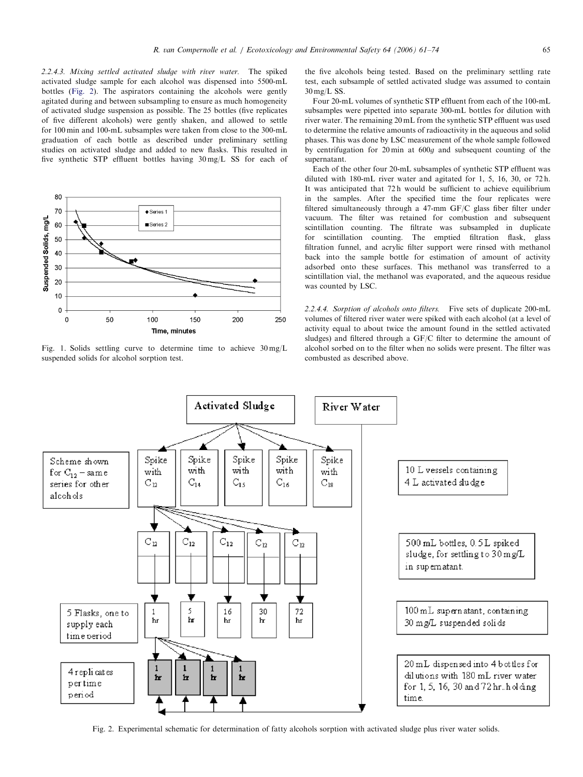<span id="page-4-0"></span>2.2.4.3. Mixing settled activated sludge with river water. The spiked activated sludge sample for each alcohol was dispensed into 5500-mL bottles (Fig. 2). The aspirators containing the alcohols were gently agitated during and between subsampling to ensure as much homogeneity of activated sludge suspension as possible. The 25 bottles (five replicates of five different alcohols) were gently shaken, and allowed to settle for 100 min and 100-mL subsamples were taken from close to the 300-mL graduation of each bottle as described under preliminary settling studies on activated sludge and added to new flasks. This resulted in five synthetic STP effluent bottles having 30 mg/L SS for each of



Fig. 1. Solids settling curve to determine time to achieve 30 mg/L suspended solids for alcohol sorption test.

the five alcohols being tested. Based on the preliminary settling rate test, each subsample of settled activated sludge was assumed to contain 30 mg/L SS.

Four 20-mL volumes of synthetic STP effluent from each of the 100-mL subsamples were pipetted into separate 300-mL bottles for dilution with river water. The remaining 20 mL from the synthetic STP effluent was used to determine the relative amounts of radioactivity in the aqueous and solid phases. This was done by LSC measurement of the whole sample followed by centrifugation for 20 min at 600g and subsequent counting of the supernatant.

Each of the other four 20-mL subsamples of synthetic STP effluent was diluted with 180-mL river water and agitated for 1, 5, 16, 30, or 72 h. It was anticipated that 72 h would be sufficient to achieve equilibrium in the samples. After the specified time the four replicates were filtered simultaneously through a 47-mm GF/C glass fiber filter under vacuum. The filter was retained for combustion and subsequent scintillation counting. The filtrate was subsampled in duplicate for scintillation counting. The emptied filtration flask, glass filtration funnel, and acrylic filter support were rinsed with methanol back into the sample bottle for estimation of amount of activity adsorbed onto these surfaces. This methanol was transferred to a scintillation vial, the methanol was evaporated, and the aqueous residue was counted by LSC.

2.2.4.4. Sorption of alcohols onto filters. Five sets of duplicate 200-mL volumes of filtered river water were spiked with each alcohol (at a level of activity equal to about twice the amount found in the settled activated sludges) and filtered through a GF/C filter to determine the amount of alcohol sorbed on to the filter when no solids were present. The filter was combusted as described above.



Fig. 2. Experimental schematic for determination of fatty alcohols sorption with activated sludge plus river water solids.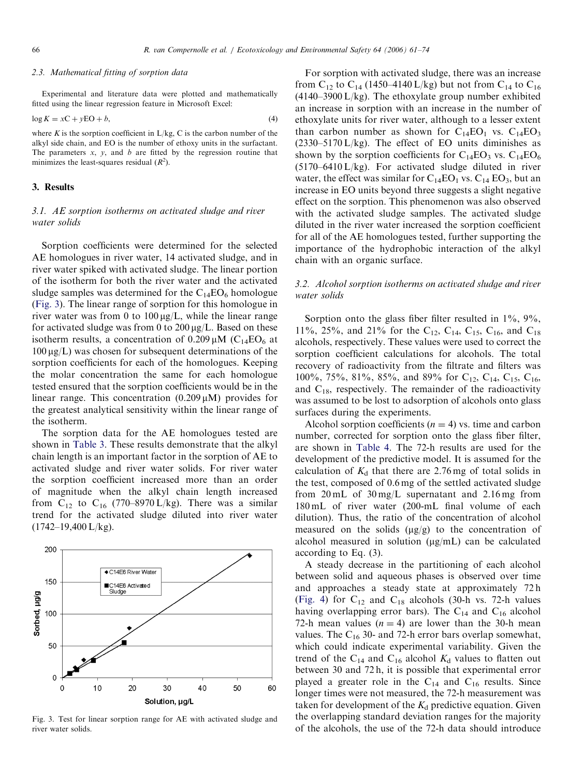## 2.3. Mathematical fitting of sorption data

Experimental and literature data were plotted and mathematically fitted using the linear regression feature in Microsoft Excel:

$$
\log K = xC + yEO + b,\tag{4}
$$

where K is the sorption coefficient in  $L/kg$ , C is the carbon number of the alkyl side chain, and EO is the number of ethoxy units in the surfactant. The parameters  $x$ ,  $y$ , and  $b$  are fitted by the regression routine that minimizes the least-squares residual  $(R^2)$ .

# 3. Results

# 3.1. AE sorption isotherms on activated sludge and river water solids

Sorption coefficients were determined for the selected AE homologues in river water, 14 activated sludge, and in river water spiked with activated sludge. The linear portion of the isotherm for both the river water and the activated sludge samples was determined for the  $C_{14}EO_6$  homologue (Fig. 3). The linear range of sorption for this homologue in river water was from 0 to  $100 \mu g/L$ , while the linear range for activated sludge was from 0 to  $200 \mu g/L$ . Based on these isotherm results, a concentration of  $0.209 \mu M$  (C<sub>14</sub>EO<sub>6</sub> at  $100 \mu g/L$ ) was chosen for subsequent determinations of the sorption coefficients for each of the homologues. Keeping the molar concentration the same for each homologue tested ensured that the sorption coefficients would be in the linear range. This concentration  $(0.209 \mu M)$  provides for the greatest analytical sensitivity within the linear range of the isotherm.

The sorption data for the AE homologues tested are shown in [Table 3.](#page-6-0) These results demonstrate that the alkyl chain length is an important factor in the sorption of AE to activated sludge and river water solids. For river water the sorption coefficient increased more than an order of magnitude when the alkyl chain length increased from  $C_{12}$  to  $C_{16}$  (770–8970 L/kg). There was a similar trend for the activated sludge diluted into river water (1742–19,400 L/kg).



Fig. 3. Test for linear sorption range for AE with activated sludge and river water solids.

For sorption with activated sludge, there was an increase from C<sub>12</sub> to C<sub>14</sub> (1450–4140 L/kg) but not from C<sub>14</sub> to C<sub>16</sub>  $(4140-3900 \text{ L/kg})$ . The ethoxylate group number exhibited an increase in sorption with an increase in the number of ethoxylate units for river water, although to a lesser extent than carbon number as shown for  $C_{14}EO_1$  vs.  $C_{14}EO_3$  $(2330-5170 \text{ L/kg})$ . The effect of EO units diminishes as shown by the sorption coefficients for  $C_{14}EO_3$  vs.  $C_{14}EO_6$  $(5170-6410 \text{ L/kg})$ . For activated sludge diluted in river water, the effect was similar for  $C_{14}EO_1$  vs.  $C_{14} EO_3$ , but an increase in EO units beyond three suggests a slight negative effect on the sorption. This phenomenon was also observed with the activated sludge samples. The activated sludge diluted in the river water increased the sorption coefficient for all of the AE homologues tested, further supporting the importance of the hydrophobic interaction of the alkyl chain with an organic surface.

# 3.2. Alcohol sorption isotherms on activated sludge and river water solids

Sorption onto the glass fiber filter resulted in  $1\%$ ,  $9\%$ , 11%, 25%, and 21% for the C<sub>12</sub>, C<sub>14</sub>, C<sub>15</sub>, C<sub>16</sub>, and C<sub>18</sub> alcohols, respectively. These values were used to correct the sorption coefficient calculations for alcohols. The total recovery of radioactivity from the filtrate and filters was 100%, 75%, 81%, 85%, and 89% for C<sub>12</sub>, C<sub>14</sub>, C<sub>15</sub>, C<sub>16</sub>, and  $C_{18}$ , respectively. The remainder of the radioactivity was assumed to be lost to adsorption of alcohols onto glass surfaces during the experiments.

Alcohol sorption coefficients ( $n = 4$ ) vs. time and carbon number, corrected for sorption onto the glass fiber filter, are shown in [Table 4.](#page-6-0) The 72-h results are used for the development of the predictive model. It is assumed for the calculation of  $K_d$  that there are 2.76 mg of total solids in the test, composed of 0.6 mg of the settled activated sludge from 20 mL of 30 mg/L supernatant and 2.16 mg from 180 mL of river water (200-mL final volume of each dilution). Thus, the ratio of the concentration of alcohol measured on the solids  $(\mu g/g)$  to the concentration of alcohol measured in solution  $(\mu g/mL)$  can be calculated according to Eq. (3).

A steady decrease in the partitioning of each alcohol between solid and aqueous phases is observed over time and approaches a steady state at approximately 72 h [\(Fig. 4](#page-6-0)) for  $C_{12}$  and  $C_{18}$  alcohols (30-h vs. 72-h values having overlapping error bars). The  $C_{14}$  and  $C_{16}$  alcohol 72-h mean values  $(n = 4)$  are lower than the 30-h mean values. The  $C_{16}$  30- and 72-h error bars overlap somewhat, which could indicate experimental variability. Given the trend of the C<sub>14</sub> and C<sub>16</sub> alcohol  $K_d$  values to flatten out between 30 and 72 h, it is possible that experimental error played a greater role in the  $C_{14}$  and  $C_{16}$  results. Since longer times were not measured, the 72-h measurement was taken for development of the  $K_d$  predictive equation. Given the overlapping standard deviation ranges for the majority of the alcohols, the use of the 72-h data should introduce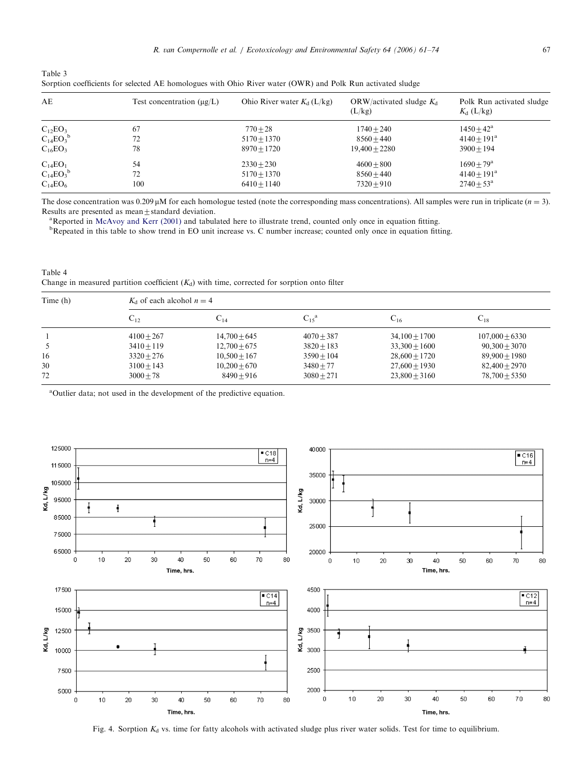<span id="page-6-0"></span>

| Table 3                                                                                                    |  |  |
|------------------------------------------------------------------------------------------------------------|--|--|
| Sorption coefficients for selected AE homologues with Ohio River water (OWR) and Polk Run activated sludge |  |  |

| AE             | Test concentration $(\mu g/L)$ | Ohio River water $K_d$ (L/kg) | ORW/activated sludge $K_d$<br>(L/kg) | Polk Run activated sludge<br>$K_{d}$ (L/kg) |
|----------------|--------------------------------|-------------------------------|--------------------------------------|---------------------------------------------|
| $C_{12}EO_3$   | 67                             | $770 + 28$                    | $1740 + 240$                         | $1450 + 42^a$                               |
| $C_{14}EO_3^b$ | 72                             | $5170 + 1370$                 | $8560 + 440$                         | $4140 + 191^a$                              |
| $C_{16}EO_3$   | 78                             | $8970 + 1720$                 | $19,400 + 2280$                      | $3900 + 194$                                |
| $C_{14}EO_1$   | 54                             | $2330 + 230$                  | $4600 + 800$                         | $1690 + 79^{\rm a}$                         |
| $C_{14}EO_3^b$ | 72                             | $5170 + 1370$                 | $8560 + 440$                         | $4140 + 191^a$                              |
| $C_{14}EO_6$   | 100                            | $6410 + 1140$                 | $7320 + 910$                         | $2740 \pm 53^{\rm a}$                       |

The dose concentration was 0.209  $\mu$ M for each homologue tested (note the corresponding mass concentrations). All samples were run in triplicate ( $n = 3$ ). Results are presented as mean $\pm$ standard deviation.

<sup>a</sup>Reported in [McAvoy and Kerr \(2001\)](#page-13-0) and tabulated here to illustrate trend, counted only once in equation fitting.

<sup>b</sup>Repeated in this table to show trend in EO unit increase vs. C number increase; counted only once in equation fitting.

Table 4 Change in measured partition coefficient  $(K_d)$  with time, corrected for sorption onto filter

| Time (h) |              | $K_d$ of each alcohol $n = 4$ |                     |                 |                  |  |  |  |  |
|----------|--------------|-------------------------------|---------------------|-----------------|------------------|--|--|--|--|
|          | $C_{12}$     | $\mathrm{C}_{14}$             | $C_{15}^{\text{a}}$ | $C_{16}$        | $U_{18}$         |  |  |  |  |
|          | $4100 + 267$ | $14,700 + 645$                | $4070 + 387$        | $34,100 + 1700$ | $107,000 + 6330$ |  |  |  |  |
|          | $3410 + 119$ | $12,700 + 675$                | $3820 + 183$        | $33,300 + 1600$ | $90,300 + 3070$  |  |  |  |  |
| 16       | $3320 + 276$ | $10,500 + 167$                | $3590 + 104$        | $28,600 + 1720$ | $89,900 + 1980$  |  |  |  |  |
| 30       | $3100 + 143$ | $10,200 + 670$                | $3480 + 77$         | $27,600 + 1930$ | $82,400 + 2970$  |  |  |  |  |
| 72       | $3000 + 78$  | $8490 + 916$                  | $3080 + 271$        | $23,800 + 3160$ | $78,700 + 5350$  |  |  |  |  |

<sup>a</sup>Outlier data; not used in the development of the predictive equation.



Fig. 4. Sorption  $K_d$  vs. time for fatty alcohols with activated sludge plus river water solids. Test for time to equilibrium.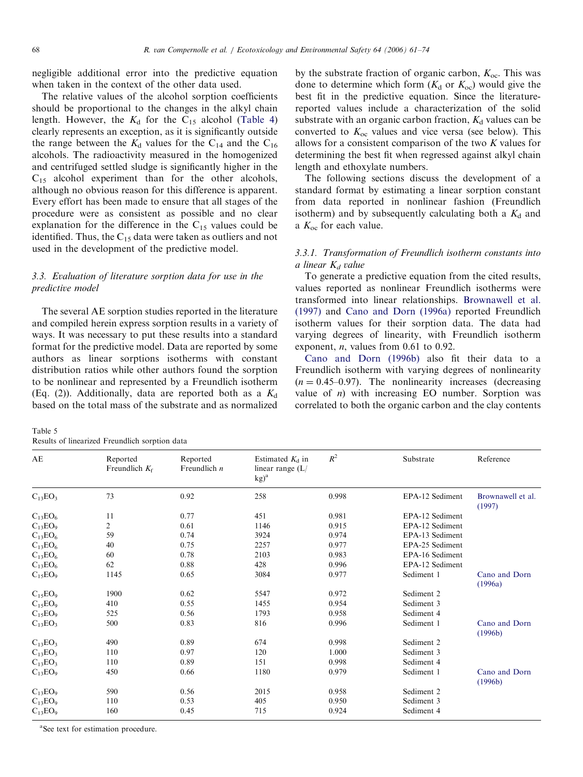<span id="page-7-0"></span>negligible additional error into the predictive equation when taken in the context of the other data used.

The relative values of the alcohol sorption coefficients should be proportional to the changes in the alkyl chain length. However, the  $K_d$  for the C<sub>15</sub> alcohol ([Table 4](#page-6-0)) clearly represents an exception, as it is significantly outside the range between the  $K_d$  values for the C<sub>14</sub> and the C<sub>16</sub> alcohols. The radioactivity measured in the homogenized and centrifuged settled sludge is significantly higher in the  $C_{15}$  alcohol experiment than for the other alcohols, although no obvious reason for this difference is apparent. Every effort has been made to ensure that all stages of the procedure were as consistent as possible and no clear explanation for the difference in the  $C_{15}$  values could be identified. Thus, the  $C_{15}$  data were taken as outliers and not used in the development of the predictive model.

# 3.3. Evaluation of literature sorption data for use in the predictive model

The several AE sorption studies reported in the literature and compiled herein express sorption results in a variety of ways. It was necessary to put these results into a standard format for the predictive model. Data are reported by some authors as linear sorptions isotherms with constant distribution ratios while other authors found the sorption to be nonlinear and represented by a Freundlich isotherm (Eq. (2)). Additionally, data are reported both as a  $K_d$ based on the total mass of the substrate and as normalized

Table 5 Results of linearized Freundlich sorption data

by the substrate fraction of organic carbon,  $K_{\text{oc}}$ . This was done to determine which form  $(K_d$  or  $K_{oc}$ ) would give the best fit in the predictive equation. Since the literaturereported values include a characterization of the solid substrate with an organic carbon fraction,  $K_d$  values can be converted to  $K_{oc}$  values and vice versa (see below). This allows for a consistent comparison of the two  $K$  values for determining the best fit when regressed against alkyl chain length and ethoxylate numbers.

The following sections discuss the development of a standard format by estimating a linear sorption constant from data reported in nonlinear fashion (Freundlich isotherm) and by subsequently calculating both a  $K_d$  and a  $K_{\text{oc}}$  for each value.

# 3.3.1. Transformation of Freundlich isotherm constants into a linear  $K_d$  value

To generate a predictive equation from the cited results, values reported as nonlinear Freundlich isotherms were transformed into linear relationships. [Brownawell et al.](#page-13-0) [\(1997\)](#page-13-0) and [Cano and Dorn \(1996a\)](#page-13-0) reported Freundlich isotherm values for their sorption data. The data had varying degrees of linearity, with Freundlich isotherm exponent, *n*, values from  $0.61$  to  $0.92$ .

[Cano and Dorn \(1996b\)](#page-13-0) also fit their data to a Freundlich isotherm with varying degrees of nonlinearity  $(n = 0.45-0.97)$ . The nonlinearity increases (decreasing value of  $n$ ) with increasing EO number. Sorption was correlated to both the organic carbon and the clay contents

| AE             | Reported<br>Freundlich $K_f$ | Reported<br>Freundlich $n$ | Estimated $K_d$ in<br>linear range $(L)$<br>$kg)^a$ | $R^2$ | Substrate             | Reference                   |
|----------------|------------------------------|----------------------------|-----------------------------------------------------|-------|-----------------------|-----------------------------|
| $C_{13}EO_3$   | 73                           | 0.92                       | 258                                                 | 0.998 | EPA-12 Sediment       | Brownawell et al.<br>(1997) |
| $C_{13}EO_6$   | 11                           | 0.77                       | 451                                                 | 0.981 | EPA-12 Sediment       |                             |
| $C_{13}EO_9$   | 2                            | 0.61                       | 1146                                                | 0.915 | EPA-12 Sediment       |                             |
| $C_{13}EO_6$   | 59                           | 0.74                       | 3924                                                | 0.974 | EPA-13 Sediment       |                             |
| $C_{13}EO_6$   | 40                           | 0.75                       | 2257                                                | 0.977 | EPA-25 Sediment       |                             |
| $C_{13}EO_6$   | 60                           | 0.78                       | 2103                                                | 0.983 | EPA-16 Sediment       |                             |
| $C_{13}EO_6$   | 62                           | 0.88                       | 428                                                 | 0.996 | EPA-12 Sediment       |                             |
| $C_{15}EO_{9}$ | 1145                         | 0.65                       | 3084                                                | 0.977 | Sediment 1            | Cano and Dorn<br>(1996a)    |
| $C_{15}EO_9$   | 1900                         | 0.62                       | 5547                                                | 0.972 | Sediment 2            |                             |
| $C_{15}EO_9$   | 410                          | 0.55                       | 1455                                                | 0.954 | Sediment 3            |                             |
| $C_{15}EO_9$   | 525                          | 0.56                       | 1793                                                | 0.958 | Sediment 4            |                             |
| $C_{13}EO_3$   | 500                          | 0.83                       | 816                                                 | 0.996 | Sediment 1            | Cano and Dorn<br>(1996b)    |
| $C_{13}EO_{3}$ | 490                          | 0.89                       | 674                                                 | 0.998 | Sediment <sub>2</sub> |                             |
| $C_{13}EO_3$   | 110                          | 0.97                       | 120                                                 | 1.000 | Sediment 3            |                             |
| $C_{13}EO_3$   | 110                          | 0.89                       | 151                                                 | 0.998 | Sediment 4            |                             |
| $C_{13}EO_9$   | 450                          | 0.66                       | 1180                                                | 0.979 | Sediment 1            | Cano and Dorn<br>(1996b)    |
| $C_{13}EO_9$   | 590                          | 0.56                       | 2015                                                | 0.958 | Sediment 2            |                             |
| $C_{13}EO_9$   | 110                          | 0.53                       | 405                                                 | 0.950 | Sediment 3            |                             |
| $C_{13}EO_9$   | 160                          | 0.45                       | 715                                                 | 0.924 | Sediment 4            |                             |

a See text for estimation procedure.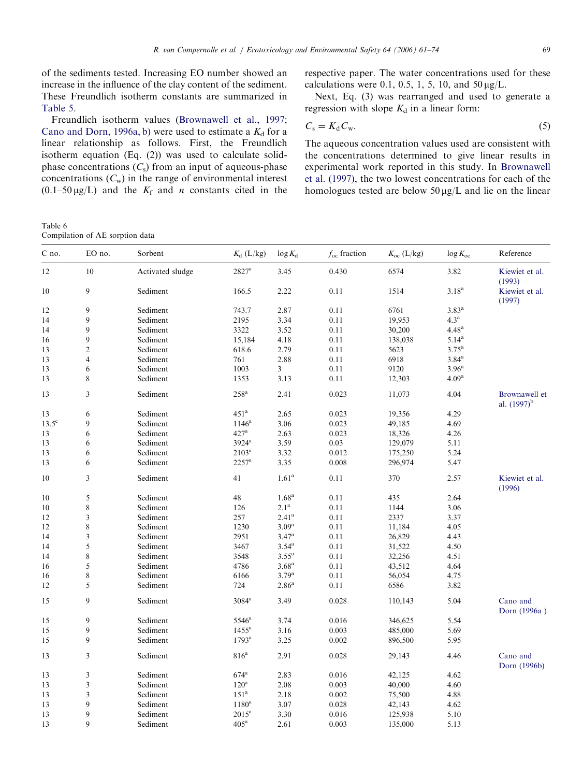<span id="page-8-0"></span>of the sediments tested. Increasing EO number showed an increase in the influence of the clay content of the sediment. These Freundlich isotherm constants are summarized in [Table 5](#page-7-0).

Freundlich isotherm values ([Brownawell et al., 1997;](#page-13-0) [Cano and Dorn, 1996a, b\)](#page-13-0) were used to estimate a  $K_d$  for a linear relationship as follows. First, the Freundlich isotherm equation (Eq. (2)) was used to calculate solidphase concentrations  $(C_s)$  from an input of aqueous-phase concentrations  $(C_w)$  in the range of environmental interest  $(0.1-50 \,\mu\text{g/L})$  and the  $K_f$  and *n* constants cited in the

respective paper. The water concentrations used for these calculations were 0.1, 0.5, 1, 5, 10, and  $50 \mu g/L$ .

Next, Eq. (3) was rearranged and used to generate a regression with slope  $K_d$  in a linear form:

$$
C_{\rm s}=K_{\rm d}C_{\rm w}.\tag{5}
$$

The aqueous concentration values used are consistent with the concentrations determined to give linear results in experimental work reported in this study. In [Brownawell](#page-13-0) [et al. \(1997\)](#page-13-0), the two lowest concentrations for each of the homologues tested are below  $50 \mu g/L$  and lie on the linear

Table 6 Compilation of AE sorption data

| 2827 <sup>a</sup><br>12<br>10<br>Activated sludge<br>0.430<br>6574<br>Kiewiet et al.<br>3.45<br>3.82<br>(1993)<br>9<br>3.18 <sup>a</sup><br>10<br>Sediment<br>2.22<br>0.11<br>1514<br>Kiewiet et al.<br>166.5<br>(1997)<br>9<br>Sediment<br>6761<br>3.83 <sup>a</sup><br>12<br>743.7<br>2.87<br>0.11<br>9<br>4.3 <sup>a</sup><br>Sediment<br>2195<br>3.34<br>0.11<br>19,953<br>14<br>9<br>4.48 <sup>a</sup><br>14<br>Sediment<br>3322<br>3.52<br>0.11<br>30,200<br>9<br>$5.14^{a}$<br>16<br>Sediment<br>15,184<br>4.18<br>0.11<br>138,038<br>$\overline{c}$<br>$3.75^{a}$<br>13<br>Sediment<br>618.6<br>2.79<br>0.11<br>5623<br>6918<br>$3.84$ <sup>a</sup><br>13<br>$\overline{4}$<br>Sediment<br>761<br>2.88<br>0.11<br>3.96 <sup>a</sup><br>13<br>6<br>1003<br>0.11<br>9120<br>Sediment<br>3<br>8<br>4.09 <sup>a</sup><br>13<br>Sediment<br>1353<br>3.13<br>0.11<br>12,303<br>$258^{\rm a}$<br>13<br>3<br>Sediment<br>2.41<br>0.023<br>4.04<br>Brownawell et<br>11,073<br>al. $(1997)^{b}$<br>Sediment<br>451 <sup>a</sup><br>6<br>2.65<br>0.023<br>19,356<br>4.29<br>13<br>$13.5^\circ$<br>9<br>Sediment<br>$1146^a$<br>3.06<br>0.023<br>4.69<br>49,185<br>$427^{\rm a}$<br>6<br>2.63<br>0.023<br>13<br>Sediment<br>18,326<br>4.26<br>6<br>0.03<br>13<br>Sediment<br>$3924$ <sup>a</sup><br>3.59<br>129,079<br>5.11<br>6<br>$2103^a$<br>13<br>Sediment<br>3.32<br>0.012<br>5.24<br>175,250<br>13<br>6<br>$2257^{\mathrm{a}}$<br>3.35<br>0.008<br>Sediment<br>296,974<br>5.47<br>$\mathfrak{Z}$<br>1.61 <sup>a</sup><br>10<br>Sediment<br>41<br>0.11<br>370<br>2.57<br>Kiewiet et al.<br>(1996)<br>1.68 <sup>a</sup><br>5<br>48<br>10<br>Sediment<br>0.11<br>435<br>2.64<br>8<br>2.1 <sup>a</sup><br>Sediment<br>126<br>0.11<br>1144<br>3.06<br>10<br>3<br>2.41 <sup>a</sup><br>Sediment<br>257<br>12<br>0.11<br>2337<br>3.37<br>8<br>$3.09^{a}$<br>1230<br>0.11<br>12<br>Sediment<br>4.05<br>11,184<br>3<br>$3.47^{\rm a}$<br>14<br>Sediment<br>2951<br>0.11<br>26,829<br>4.43<br>5<br>$3.54^{a}$<br>14<br>Sediment<br>3467<br>0.11<br>4.50<br>31,522<br>8<br>$3.55^{\mathrm{a}}$<br>Sediment<br>4.51<br>14<br>3548<br>0.11<br>32,256<br>5<br>3.68 <sup>a</sup><br>4786<br>0.11<br>16<br>Sediment<br>43,512<br>4.64<br>8<br>$3.79^{a}$<br>Sediment<br>6166<br>0.11<br>4.75<br>16<br>56,054<br>5<br>12<br>724<br>2.86 <sup>a</sup><br>0.11<br>3.82<br>Sediment<br>6586<br>9<br>Sediment<br>$3084^{\rm a}$<br>5.04<br>Cano and<br>15<br>3.49<br>0.028<br>110,143<br>Dorn (1996a)<br>9<br>Sediment<br>$5546^{\mathrm{a}}$<br>3.74<br>0.016<br>346,625<br>5.54<br>15<br>9<br>Sediment<br>1455 <sup>a</sup><br>3.16<br>0.003<br>5.69<br>15<br>485,000<br>9<br>15<br>Sediment<br>$1793^{\rm a}$<br>3.25<br>0.002<br>5.95<br>896,500<br>3<br>Sediment<br>816 <sup>a</sup><br>2.91<br>Cano and<br>13<br>0.028<br>29,143<br>4.46<br>Dorn (1996b)<br>3<br>Sediment<br>$674$ <sup>a</sup><br>2.83<br>0.016<br>42,125<br>4.62<br>13<br>3<br>Sediment<br>$120^{\rm a}$<br>2.08<br>0.003<br>40,000<br>4.60<br>13<br>$\overline{\mathbf{3}}$<br>151 <sup>a</sup><br>13<br>Sediment<br>2.18<br>0.002<br>4.88<br>75,500<br>9<br>13<br>Sediment<br>$1180^a$<br>3.07<br>0.028<br>4.62<br>42,143<br>9<br>$2015^a$<br>13<br>Sediment<br>3.30<br>0.016<br>5.10<br>125,938<br>9<br>405 <sup>a</sup><br>13<br>Sediment<br>2.61<br>0.003<br>135,000<br>5.13 | C no. | EO no. | Sorbent | $K_{d}$ (L/kg) | $\log K_d$ | $f_{\rm oc}$ fraction | $K_{\rm oc}$ (L/kg) | $\log K_{\rm oc}$ | Reference |
|----------------------------------------------------------------------------------------------------------------------------------------------------------------------------------------------------------------------------------------------------------------------------------------------------------------------------------------------------------------------------------------------------------------------------------------------------------------------------------------------------------------------------------------------------------------------------------------------------------------------------------------------------------------------------------------------------------------------------------------------------------------------------------------------------------------------------------------------------------------------------------------------------------------------------------------------------------------------------------------------------------------------------------------------------------------------------------------------------------------------------------------------------------------------------------------------------------------------------------------------------------------------------------------------------------------------------------------------------------------------------------------------------------------------------------------------------------------------------------------------------------------------------------------------------------------------------------------------------------------------------------------------------------------------------------------------------------------------------------------------------------------------------------------------------------------------------------------------------------------------------------------------------------------------------------------------------------------------------------------------------------------------------------------------------------------------------------------------------------------------------------------------------------------------------------------------------------------------------------------------------------------------------------------------------------------------------------------------------------------------------------------------------------------------------------------------------------------------------------------------------------------------------------------------------------------------------------------------------------------------------------------------------------------------------------------------------------------------------------------------------------------------------------------------------------------------------------------------------------------------------------------------------------------------------------------------------------------------------------------------------------------------------------------------------------------------------------------------------------------------------------------------------------------------------------------------------------------------------------------------------------------------------------------------------------------------------------------|-------|--------|---------|----------------|------------|-----------------------|---------------------|-------------------|-----------|
|                                                                                                                                                                                                                                                                                                                                                                                                                                                                                                                                                                                                                                                                                                                                                                                                                                                                                                                                                                                                                                                                                                                                                                                                                                                                                                                                                                                                                                                                                                                                                                                                                                                                                                                                                                                                                                                                                                                                                                                                                                                                                                                                                                                                                                                                                                                                                                                                                                                                                                                                                                                                                                                                                                                                                                                                                                                                                                                                                                                                                                                                                                                                                                                                                                                                                                                                        |       |        |         |                |            |                       |                     |                   |           |
|                                                                                                                                                                                                                                                                                                                                                                                                                                                                                                                                                                                                                                                                                                                                                                                                                                                                                                                                                                                                                                                                                                                                                                                                                                                                                                                                                                                                                                                                                                                                                                                                                                                                                                                                                                                                                                                                                                                                                                                                                                                                                                                                                                                                                                                                                                                                                                                                                                                                                                                                                                                                                                                                                                                                                                                                                                                                                                                                                                                                                                                                                                                                                                                                                                                                                                                                        |       |        |         |                |            |                       |                     |                   |           |
|                                                                                                                                                                                                                                                                                                                                                                                                                                                                                                                                                                                                                                                                                                                                                                                                                                                                                                                                                                                                                                                                                                                                                                                                                                                                                                                                                                                                                                                                                                                                                                                                                                                                                                                                                                                                                                                                                                                                                                                                                                                                                                                                                                                                                                                                                                                                                                                                                                                                                                                                                                                                                                                                                                                                                                                                                                                                                                                                                                                                                                                                                                                                                                                                                                                                                                                                        |       |        |         |                |            |                       |                     |                   |           |
|                                                                                                                                                                                                                                                                                                                                                                                                                                                                                                                                                                                                                                                                                                                                                                                                                                                                                                                                                                                                                                                                                                                                                                                                                                                                                                                                                                                                                                                                                                                                                                                                                                                                                                                                                                                                                                                                                                                                                                                                                                                                                                                                                                                                                                                                                                                                                                                                                                                                                                                                                                                                                                                                                                                                                                                                                                                                                                                                                                                                                                                                                                                                                                                                                                                                                                                                        |       |        |         |                |            |                       |                     |                   |           |
|                                                                                                                                                                                                                                                                                                                                                                                                                                                                                                                                                                                                                                                                                                                                                                                                                                                                                                                                                                                                                                                                                                                                                                                                                                                                                                                                                                                                                                                                                                                                                                                                                                                                                                                                                                                                                                                                                                                                                                                                                                                                                                                                                                                                                                                                                                                                                                                                                                                                                                                                                                                                                                                                                                                                                                                                                                                                                                                                                                                                                                                                                                                                                                                                                                                                                                                                        |       |        |         |                |            |                       |                     |                   |           |
|                                                                                                                                                                                                                                                                                                                                                                                                                                                                                                                                                                                                                                                                                                                                                                                                                                                                                                                                                                                                                                                                                                                                                                                                                                                                                                                                                                                                                                                                                                                                                                                                                                                                                                                                                                                                                                                                                                                                                                                                                                                                                                                                                                                                                                                                                                                                                                                                                                                                                                                                                                                                                                                                                                                                                                                                                                                                                                                                                                                                                                                                                                                                                                                                                                                                                                                                        |       |        |         |                |            |                       |                     |                   |           |
|                                                                                                                                                                                                                                                                                                                                                                                                                                                                                                                                                                                                                                                                                                                                                                                                                                                                                                                                                                                                                                                                                                                                                                                                                                                                                                                                                                                                                                                                                                                                                                                                                                                                                                                                                                                                                                                                                                                                                                                                                                                                                                                                                                                                                                                                                                                                                                                                                                                                                                                                                                                                                                                                                                                                                                                                                                                                                                                                                                                                                                                                                                                                                                                                                                                                                                                                        |       |        |         |                |            |                       |                     |                   |           |
|                                                                                                                                                                                                                                                                                                                                                                                                                                                                                                                                                                                                                                                                                                                                                                                                                                                                                                                                                                                                                                                                                                                                                                                                                                                                                                                                                                                                                                                                                                                                                                                                                                                                                                                                                                                                                                                                                                                                                                                                                                                                                                                                                                                                                                                                                                                                                                                                                                                                                                                                                                                                                                                                                                                                                                                                                                                                                                                                                                                                                                                                                                                                                                                                                                                                                                                                        |       |        |         |                |            |                       |                     |                   |           |
|                                                                                                                                                                                                                                                                                                                                                                                                                                                                                                                                                                                                                                                                                                                                                                                                                                                                                                                                                                                                                                                                                                                                                                                                                                                                                                                                                                                                                                                                                                                                                                                                                                                                                                                                                                                                                                                                                                                                                                                                                                                                                                                                                                                                                                                                                                                                                                                                                                                                                                                                                                                                                                                                                                                                                                                                                                                                                                                                                                                                                                                                                                                                                                                                                                                                                                                                        |       |        |         |                |            |                       |                     |                   |           |
|                                                                                                                                                                                                                                                                                                                                                                                                                                                                                                                                                                                                                                                                                                                                                                                                                                                                                                                                                                                                                                                                                                                                                                                                                                                                                                                                                                                                                                                                                                                                                                                                                                                                                                                                                                                                                                                                                                                                                                                                                                                                                                                                                                                                                                                                                                                                                                                                                                                                                                                                                                                                                                                                                                                                                                                                                                                                                                                                                                                                                                                                                                                                                                                                                                                                                                                                        |       |        |         |                |            |                       |                     |                   |           |
|                                                                                                                                                                                                                                                                                                                                                                                                                                                                                                                                                                                                                                                                                                                                                                                                                                                                                                                                                                                                                                                                                                                                                                                                                                                                                                                                                                                                                                                                                                                                                                                                                                                                                                                                                                                                                                                                                                                                                                                                                                                                                                                                                                                                                                                                                                                                                                                                                                                                                                                                                                                                                                                                                                                                                                                                                                                                                                                                                                                                                                                                                                                                                                                                                                                                                                                                        |       |        |         |                |            |                       |                     |                   |           |
|                                                                                                                                                                                                                                                                                                                                                                                                                                                                                                                                                                                                                                                                                                                                                                                                                                                                                                                                                                                                                                                                                                                                                                                                                                                                                                                                                                                                                                                                                                                                                                                                                                                                                                                                                                                                                                                                                                                                                                                                                                                                                                                                                                                                                                                                                                                                                                                                                                                                                                                                                                                                                                                                                                                                                                                                                                                                                                                                                                                                                                                                                                                                                                                                                                                                                                                                        |       |        |         |                |            |                       |                     |                   |           |
|                                                                                                                                                                                                                                                                                                                                                                                                                                                                                                                                                                                                                                                                                                                                                                                                                                                                                                                                                                                                                                                                                                                                                                                                                                                                                                                                                                                                                                                                                                                                                                                                                                                                                                                                                                                                                                                                                                                                                                                                                                                                                                                                                                                                                                                                                                                                                                                                                                                                                                                                                                                                                                                                                                                                                                                                                                                                                                                                                                                                                                                                                                                                                                                                                                                                                                                                        |       |        |         |                |            |                       |                     |                   |           |
|                                                                                                                                                                                                                                                                                                                                                                                                                                                                                                                                                                                                                                                                                                                                                                                                                                                                                                                                                                                                                                                                                                                                                                                                                                                                                                                                                                                                                                                                                                                                                                                                                                                                                                                                                                                                                                                                                                                                                                                                                                                                                                                                                                                                                                                                                                                                                                                                                                                                                                                                                                                                                                                                                                                                                                                                                                                                                                                                                                                                                                                                                                                                                                                                                                                                                                                                        |       |        |         |                |            |                       |                     |                   |           |
|                                                                                                                                                                                                                                                                                                                                                                                                                                                                                                                                                                                                                                                                                                                                                                                                                                                                                                                                                                                                                                                                                                                                                                                                                                                                                                                                                                                                                                                                                                                                                                                                                                                                                                                                                                                                                                                                                                                                                                                                                                                                                                                                                                                                                                                                                                                                                                                                                                                                                                                                                                                                                                                                                                                                                                                                                                                                                                                                                                                                                                                                                                                                                                                                                                                                                                                                        |       |        |         |                |            |                       |                     |                   |           |
|                                                                                                                                                                                                                                                                                                                                                                                                                                                                                                                                                                                                                                                                                                                                                                                                                                                                                                                                                                                                                                                                                                                                                                                                                                                                                                                                                                                                                                                                                                                                                                                                                                                                                                                                                                                                                                                                                                                                                                                                                                                                                                                                                                                                                                                                                                                                                                                                                                                                                                                                                                                                                                                                                                                                                                                                                                                                                                                                                                                                                                                                                                                                                                                                                                                                                                                                        |       |        |         |                |            |                       |                     |                   |           |
|                                                                                                                                                                                                                                                                                                                                                                                                                                                                                                                                                                                                                                                                                                                                                                                                                                                                                                                                                                                                                                                                                                                                                                                                                                                                                                                                                                                                                                                                                                                                                                                                                                                                                                                                                                                                                                                                                                                                                                                                                                                                                                                                                                                                                                                                                                                                                                                                                                                                                                                                                                                                                                                                                                                                                                                                                                                                                                                                                                                                                                                                                                                                                                                                                                                                                                                                        |       |        |         |                |            |                       |                     |                   |           |
|                                                                                                                                                                                                                                                                                                                                                                                                                                                                                                                                                                                                                                                                                                                                                                                                                                                                                                                                                                                                                                                                                                                                                                                                                                                                                                                                                                                                                                                                                                                                                                                                                                                                                                                                                                                                                                                                                                                                                                                                                                                                                                                                                                                                                                                                                                                                                                                                                                                                                                                                                                                                                                                                                                                                                                                                                                                                                                                                                                                                                                                                                                                                                                                                                                                                                                                                        |       |        |         |                |            |                       |                     |                   |           |
|                                                                                                                                                                                                                                                                                                                                                                                                                                                                                                                                                                                                                                                                                                                                                                                                                                                                                                                                                                                                                                                                                                                                                                                                                                                                                                                                                                                                                                                                                                                                                                                                                                                                                                                                                                                                                                                                                                                                                                                                                                                                                                                                                                                                                                                                                                                                                                                                                                                                                                                                                                                                                                                                                                                                                                                                                                                                                                                                                                                                                                                                                                                                                                                                                                                                                                                                        |       |        |         |                |            |                       |                     |                   |           |
|                                                                                                                                                                                                                                                                                                                                                                                                                                                                                                                                                                                                                                                                                                                                                                                                                                                                                                                                                                                                                                                                                                                                                                                                                                                                                                                                                                                                                                                                                                                                                                                                                                                                                                                                                                                                                                                                                                                                                                                                                                                                                                                                                                                                                                                                                                                                                                                                                                                                                                                                                                                                                                                                                                                                                                                                                                                                                                                                                                                                                                                                                                                                                                                                                                                                                                                                        |       |        |         |                |            |                       |                     |                   |           |
|                                                                                                                                                                                                                                                                                                                                                                                                                                                                                                                                                                                                                                                                                                                                                                                                                                                                                                                                                                                                                                                                                                                                                                                                                                                                                                                                                                                                                                                                                                                                                                                                                                                                                                                                                                                                                                                                                                                                                                                                                                                                                                                                                                                                                                                                                                                                                                                                                                                                                                                                                                                                                                                                                                                                                                                                                                                                                                                                                                                                                                                                                                                                                                                                                                                                                                                                        |       |        |         |                |            |                       |                     |                   |           |
|                                                                                                                                                                                                                                                                                                                                                                                                                                                                                                                                                                                                                                                                                                                                                                                                                                                                                                                                                                                                                                                                                                                                                                                                                                                                                                                                                                                                                                                                                                                                                                                                                                                                                                                                                                                                                                                                                                                                                                                                                                                                                                                                                                                                                                                                                                                                                                                                                                                                                                                                                                                                                                                                                                                                                                                                                                                                                                                                                                                                                                                                                                                                                                                                                                                                                                                                        |       |        |         |                |            |                       |                     |                   |           |
|                                                                                                                                                                                                                                                                                                                                                                                                                                                                                                                                                                                                                                                                                                                                                                                                                                                                                                                                                                                                                                                                                                                                                                                                                                                                                                                                                                                                                                                                                                                                                                                                                                                                                                                                                                                                                                                                                                                                                                                                                                                                                                                                                                                                                                                                                                                                                                                                                                                                                                                                                                                                                                                                                                                                                                                                                                                                                                                                                                                                                                                                                                                                                                                                                                                                                                                                        |       |        |         |                |            |                       |                     |                   |           |
|                                                                                                                                                                                                                                                                                                                                                                                                                                                                                                                                                                                                                                                                                                                                                                                                                                                                                                                                                                                                                                                                                                                                                                                                                                                                                                                                                                                                                                                                                                                                                                                                                                                                                                                                                                                                                                                                                                                                                                                                                                                                                                                                                                                                                                                                                                                                                                                                                                                                                                                                                                                                                                                                                                                                                                                                                                                                                                                                                                                                                                                                                                                                                                                                                                                                                                                                        |       |        |         |                |            |                       |                     |                   |           |
|                                                                                                                                                                                                                                                                                                                                                                                                                                                                                                                                                                                                                                                                                                                                                                                                                                                                                                                                                                                                                                                                                                                                                                                                                                                                                                                                                                                                                                                                                                                                                                                                                                                                                                                                                                                                                                                                                                                                                                                                                                                                                                                                                                                                                                                                                                                                                                                                                                                                                                                                                                                                                                                                                                                                                                                                                                                                                                                                                                                                                                                                                                                                                                                                                                                                                                                                        |       |        |         |                |            |                       |                     |                   |           |
|                                                                                                                                                                                                                                                                                                                                                                                                                                                                                                                                                                                                                                                                                                                                                                                                                                                                                                                                                                                                                                                                                                                                                                                                                                                                                                                                                                                                                                                                                                                                                                                                                                                                                                                                                                                                                                                                                                                                                                                                                                                                                                                                                                                                                                                                                                                                                                                                                                                                                                                                                                                                                                                                                                                                                                                                                                                                                                                                                                                                                                                                                                                                                                                                                                                                                                                                        |       |        |         |                |            |                       |                     |                   |           |
|                                                                                                                                                                                                                                                                                                                                                                                                                                                                                                                                                                                                                                                                                                                                                                                                                                                                                                                                                                                                                                                                                                                                                                                                                                                                                                                                                                                                                                                                                                                                                                                                                                                                                                                                                                                                                                                                                                                                                                                                                                                                                                                                                                                                                                                                                                                                                                                                                                                                                                                                                                                                                                                                                                                                                                                                                                                                                                                                                                                                                                                                                                                                                                                                                                                                                                                                        |       |        |         |                |            |                       |                     |                   |           |
|                                                                                                                                                                                                                                                                                                                                                                                                                                                                                                                                                                                                                                                                                                                                                                                                                                                                                                                                                                                                                                                                                                                                                                                                                                                                                                                                                                                                                                                                                                                                                                                                                                                                                                                                                                                                                                                                                                                                                                                                                                                                                                                                                                                                                                                                                                                                                                                                                                                                                                                                                                                                                                                                                                                                                                                                                                                                                                                                                                                                                                                                                                                                                                                                                                                                                                                                        |       |        |         |                |            |                       |                     |                   |           |
|                                                                                                                                                                                                                                                                                                                                                                                                                                                                                                                                                                                                                                                                                                                                                                                                                                                                                                                                                                                                                                                                                                                                                                                                                                                                                                                                                                                                                                                                                                                                                                                                                                                                                                                                                                                                                                                                                                                                                                                                                                                                                                                                                                                                                                                                                                                                                                                                                                                                                                                                                                                                                                                                                                                                                                                                                                                                                                                                                                                                                                                                                                                                                                                                                                                                                                                                        |       |        |         |                |            |                       |                     |                   |           |
|                                                                                                                                                                                                                                                                                                                                                                                                                                                                                                                                                                                                                                                                                                                                                                                                                                                                                                                                                                                                                                                                                                                                                                                                                                                                                                                                                                                                                                                                                                                                                                                                                                                                                                                                                                                                                                                                                                                                                                                                                                                                                                                                                                                                                                                                                                                                                                                                                                                                                                                                                                                                                                                                                                                                                                                                                                                                                                                                                                                                                                                                                                                                                                                                                                                                                                                                        |       |        |         |                |            |                       |                     |                   |           |
|                                                                                                                                                                                                                                                                                                                                                                                                                                                                                                                                                                                                                                                                                                                                                                                                                                                                                                                                                                                                                                                                                                                                                                                                                                                                                                                                                                                                                                                                                                                                                                                                                                                                                                                                                                                                                                                                                                                                                                                                                                                                                                                                                                                                                                                                                                                                                                                                                                                                                                                                                                                                                                                                                                                                                                                                                                                                                                                                                                                                                                                                                                                                                                                                                                                                                                                                        |       |        |         |                |            |                       |                     |                   |           |
|                                                                                                                                                                                                                                                                                                                                                                                                                                                                                                                                                                                                                                                                                                                                                                                                                                                                                                                                                                                                                                                                                                                                                                                                                                                                                                                                                                                                                                                                                                                                                                                                                                                                                                                                                                                                                                                                                                                                                                                                                                                                                                                                                                                                                                                                                                                                                                                                                                                                                                                                                                                                                                                                                                                                                                                                                                                                                                                                                                                                                                                                                                                                                                                                                                                                                                                                        |       |        |         |                |            |                       |                     |                   |           |
|                                                                                                                                                                                                                                                                                                                                                                                                                                                                                                                                                                                                                                                                                                                                                                                                                                                                                                                                                                                                                                                                                                                                                                                                                                                                                                                                                                                                                                                                                                                                                                                                                                                                                                                                                                                                                                                                                                                                                                                                                                                                                                                                                                                                                                                                                                                                                                                                                                                                                                                                                                                                                                                                                                                                                                                                                                                                                                                                                                                                                                                                                                                                                                                                                                                                                                                                        |       |        |         |                |            |                       |                     |                   |           |
|                                                                                                                                                                                                                                                                                                                                                                                                                                                                                                                                                                                                                                                                                                                                                                                                                                                                                                                                                                                                                                                                                                                                                                                                                                                                                                                                                                                                                                                                                                                                                                                                                                                                                                                                                                                                                                                                                                                                                                                                                                                                                                                                                                                                                                                                                                                                                                                                                                                                                                                                                                                                                                                                                                                                                                                                                                                                                                                                                                                                                                                                                                                                                                                                                                                                                                                                        |       |        |         |                |            |                       |                     |                   |           |
|                                                                                                                                                                                                                                                                                                                                                                                                                                                                                                                                                                                                                                                                                                                                                                                                                                                                                                                                                                                                                                                                                                                                                                                                                                                                                                                                                                                                                                                                                                                                                                                                                                                                                                                                                                                                                                                                                                                                                                                                                                                                                                                                                                                                                                                                                                                                                                                                                                                                                                                                                                                                                                                                                                                                                                                                                                                                                                                                                                                                                                                                                                                                                                                                                                                                                                                                        |       |        |         |                |            |                       |                     |                   |           |
|                                                                                                                                                                                                                                                                                                                                                                                                                                                                                                                                                                                                                                                                                                                                                                                                                                                                                                                                                                                                                                                                                                                                                                                                                                                                                                                                                                                                                                                                                                                                                                                                                                                                                                                                                                                                                                                                                                                                                                                                                                                                                                                                                                                                                                                                                                                                                                                                                                                                                                                                                                                                                                                                                                                                                                                                                                                                                                                                                                                                                                                                                                                                                                                                                                                                                                                                        |       |        |         |                |            |                       |                     |                   |           |
|                                                                                                                                                                                                                                                                                                                                                                                                                                                                                                                                                                                                                                                                                                                                                                                                                                                                                                                                                                                                                                                                                                                                                                                                                                                                                                                                                                                                                                                                                                                                                                                                                                                                                                                                                                                                                                                                                                                                                                                                                                                                                                                                                                                                                                                                                                                                                                                                                                                                                                                                                                                                                                                                                                                                                                                                                                                                                                                                                                                                                                                                                                                                                                                                                                                                                                                                        |       |        |         |                |            |                       |                     |                   |           |
|                                                                                                                                                                                                                                                                                                                                                                                                                                                                                                                                                                                                                                                                                                                                                                                                                                                                                                                                                                                                                                                                                                                                                                                                                                                                                                                                                                                                                                                                                                                                                                                                                                                                                                                                                                                                                                                                                                                                                                                                                                                                                                                                                                                                                                                                                                                                                                                                                                                                                                                                                                                                                                                                                                                                                                                                                                                                                                                                                                                                                                                                                                                                                                                                                                                                                                                                        |       |        |         |                |            |                       |                     |                   |           |
|                                                                                                                                                                                                                                                                                                                                                                                                                                                                                                                                                                                                                                                                                                                                                                                                                                                                                                                                                                                                                                                                                                                                                                                                                                                                                                                                                                                                                                                                                                                                                                                                                                                                                                                                                                                                                                                                                                                                                                                                                                                                                                                                                                                                                                                                                                                                                                                                                                                                                                                                                                                                                                                                                                                                                                                                                                                                                                                                                                                                                                                                                                                                                                                                                                                                                                                                        |       |        |         |                |            |                       |                     |                   |           |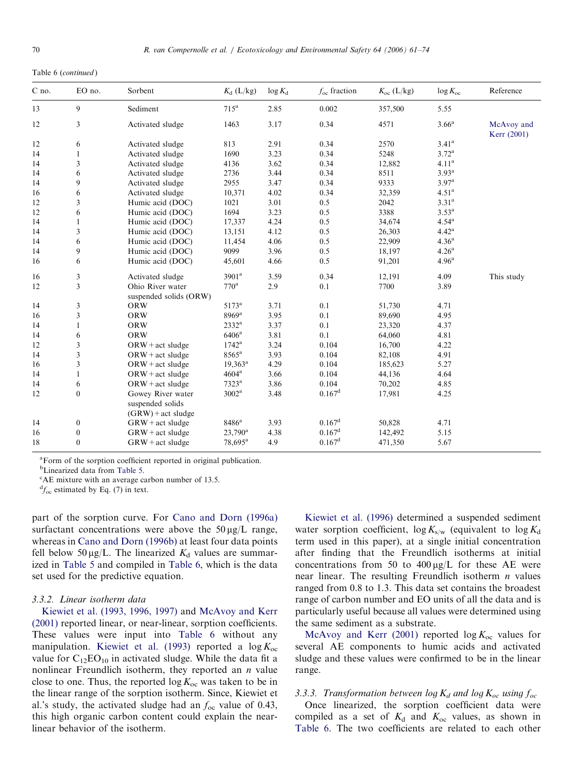Table 6 (continued )

| C no. | EO no.           | Sorbent                               | $K_d$ (L/kg)        | $\log K_d$ | $f_{\rm oc}$ fraction | $K_{\rm oc}$ (L/kg) | $\log K_{\rm oc}$ | Reference                 |
|-------|------------------|---------------------------------------|---------------------|------------|-----------------------|---------------------|-------------------|---------------------------|
| 13    | 9                | Sediment                              | 715 <sup>a</sup>    | 2.85       | 0.002                 | 357,500             | 5.55              |                           |
| 12    | 3                | Activated sludge                      | 1463                | 3.17       | 0.34                  | 4571                | 3.66 <sup>a</sup> | McAvoy and<br>Kerr (2001) |
| 12    | 6                | Activated sludge                      | 813                 | 2.91       | 0.34                  | 2570                | 3.41 <sup>a</sup> |                           |
| 14    | $\mathbf{1}$     | Activated sludge                      | 1690                | 3.23       | 0.34                  | 5248                | $3.72^{\rm a}$    |                           |
| 14    | 3                | Activated sludge                      | 4136                | 3.62       | 0.34                  | 12,882              | 4.11 <sup>a</sup> |                           |
| 14    | 6                | Activated sludge                      | 2736                | 3.44       | 0.34                  | 8511                | 3.93 <sup>a</sup> |                           |
| 14    | 9                | Activated sludge                      | 2955                | 3.47       | 0.34                  | 9333                | 3.97 <sup>a</sup> |                           |
| 16    | 6                | Activated sludge                      | 10,371              | 4.02       | 0.34                  | 32,359              | 4.51 <sup>a</sup> |                           |
| 12    | 3                | Humic acid (DOC)                      | 1021                | 3.01       | 0.5                   | 2042                | 3.31 <sup>a</sup> |                           |
| 12    | 6                | Humic acid (DOC)                      | 1694                | 3.23       | 0.5                   | 3388                | $3.53^{a}$        |                           |
| 14    | $\mathbf{1}$     | Humic acid (DOC)                      | 17,337              | 4.24       | 0.5                   | 34,674              | $4.54^{a}$        |                           |
| 14    | 3                | Humic acid (DOC)                      | 13,151              | 4.12       | 0.5                   | 26,303              | 4.42 <sup>a</sup> |                           |
| 14    | 6                | Humic acid (DOC)                      | 11,454              | 4.06       | 0.5                   | 22,909              | 4.36 <sup>a</sup> |                           |
| 14    | 9                | Humic acid (DOC)                      | 9099                | 3.96       | 0.5                   | 18,197              | 4.26 <sup>a</sup> |                           |
| 16    | 6                | Humic acid (DOC)                      | 45,601              | 4.66       | 0.5                   | 91,201              | 4.96 <sup>a</sup> |                           |
| 16    | 3                | Activated sludge                      | 3901 <sup>a</sup>   | 3.59       | 0.34                  | 12,191              | 4.09              | This study                |
| 12    | 3                | Ohio River water                      | $770^{\rm a}$       | 2.9        | 0.1                   | 7700                | 3.89              |                           |
|       |                  | suspended solids (ORW)                |                     |            |                       |                     |                   |                           |
| 14    | 3                | <b>ORW</b>                            | $5173^{\rm a}$      | 3.71       | 0.1                   | 51,730              | 4.71              |                           |
| 16    | 3                | <b>ORW</b>                            | $8969$ <sup>a</sup> | 3.95       | 0.1                   | 89,690              | 4.95              |                           |
| 14    | $\mathbf{1}$     | <b>ORW</b>                            | $2332^a$            | 3.37       | 0.1                   | 23,320              | 4.37              |                           |
| 14    | 6                | <b>ORW</b>                            | 6406 <sup>a</sup>   | 3.81       | 0.1                   | 64,060              | 4.81              |                           |
| 12    | 3                | $ORW + act$ sludge                    | $1742^{\rm a}$      | 3.24       | 0.104                 | 16,700              | 4.22              |                           |
| 14    | 3                | $ORW + act$ sludge                    | 8565 <sup>a</sup>   | 3.93       | 0.104                 | 82,108              | 4.91              |                           |
| 16    | 3                | $ORW + act$ sludge                    | $19,363^a$          | 4.29       | 0.104                 | 185,623             | 5.27              |                           |
| 14    | $\mathbf{1}$     | $ORW + act$ sludge                    | $4604^{\mathrm{a}}$ | 3.66       | 0.104                 | 44,136              | 4.64              |                           |
| 14    | 6                | $ORW + act$ sludge                    | $7323^{\mathrm{a}}$ | 3.86       | 0.104                 | 70,202              | 4.85              |                           |
| 12    | $\boldsymbol{0}$ | Gowey River water<br>suspended solids | $3002^{\mathrm{a}}$ | 3.48       | 0.167 <sup>d</sup>    | 17,981              | 4.25              |                           |
|       |                  | $(GRW)$ + act sludge                  |                     |            |                       |                     |                   |                           |
| 14    | $\boldsymbol{0}$ | $GRW + act$ sludge                    | $8486^{\mathrm{a}}$ | 3.93       | $0.167^{\rm d}$       | 50,828              | 4.71              |                           |
| 16    | $\boldsymbol{0}$ | $GRW + act$ sludge                    | $23,790^a$          | 4.38       | 0.167 <sup>d</sup>    | 142,492             | 5.15              |                           |
| 18    | $\boldsymbol{0}$ | $GRW + act$ sludge                    | $78,695^{\rm a}$    | 4.9        | 0.167 <sup>d</sup>    | 471,350             | 5.67              |                           |

<sup>a</sup>Form of the sorption coefficient reported in original publication.

<sup>b</sup>Linearized data from [Table 5.](#page-7-0)

AE mixture with an average carbon number of 13.5.

 ${}^{d}f_{oc}$  estimated by Eq. (7) in text.

part of the sorption curve. For [Cano and Dorn \(1996a\)](#page-13-0) surfactant concentrations were above the  $50 \mu g/L$  range, whereas in [Cano and Dorn \(1996b\)](#page-13-0) at least four data points fell below 50  $\mu$ g/L. The linearized  $K_d$  values are summarized in [Table 5](#page-7-0) and compiled in [Table 6,](#page-8-0) which is the data set used for the predictive equation.

## 3.3.2. Linear isotherm data

[Kiewiet et al. \(1993, 1996, 1997\)](#page-13-0) and [McAvoy and Kerr](#page-13-0) [\(2001\)](#page-13-0) reported linear, or near-linear, sorption coefficients. These values were input into [Table 6](#page-8-0) without any manipulation. [Kiewiet et al. \(1993\)](#page-13-0) reported a  $\log K_{\text{oc}}$ value for  $C_{12}EO_{10}$  in activated sludge. While the data fit a nonlinear Freundlich isotherm, they reported an  $n$  value close to one. Thus, the reported  $\log K_{\text{oc}}$  was taken to be in the linear range of the sorption isotherm. Since, Kiewiet et al.'s study, the activated sludge had an  $f_{\text{oc}}$  value of 0.43, this high organic carbon content could explain the nearlinear behavior of the isotherm.

[Kiewiet et al. \(1996\)](#page-13-0) determined a suspended sediment water sorption coefficient,  $\log K_{s/w}$  (equivalent to  $\log K_d$ ) term used in this paper), at a single initial concentration after finding that the Freundlich isotherms at initial concentrations from 50 to  $400 \mu g/L$  for these AE were near linear. The resulting Freundlich isotherm  $n$  values ranged from 0.8 to 1.3. This data set contains the broadest range of carbon number and EO units of all the data and is particularly useful because all values were determined using the same sediment as a substrate.

[McAvoy and Kerr \(2001\)](#page-13-0) reported  $\log K_{\text{oc}}$  values for several AE components to humic acids and activated sludge and these values were confirmed to be in the linear range.

## 3.3.3. Transformation between log  $K_d$  and log  $K_{oc}$  using  $f_{oc}$

Once linearized, the sorption coefficient data were compiled as a set of  $K_d$  and  $K_{oc}$  values, as shown in [Table 6](#page-8-0). The two coefficients are related to each other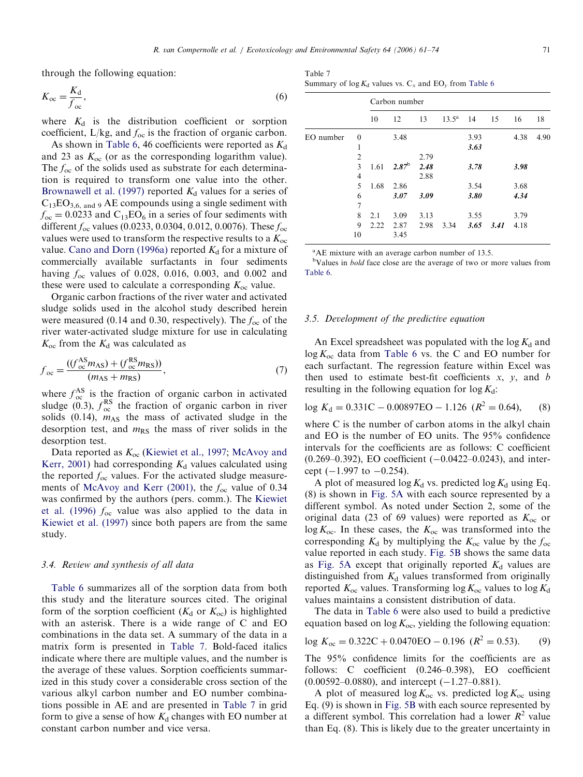<span id="page-10-0"></span>through the following equation:

$$
K_{\text{oc}} = \frac{K_{\text{d}}}{f_{\text{oc}}},\tag{6}
$$

where  $K_d$  is the distribution coefficient or sorption coefficient,  $L/kg$ , and  $f_{oc}$  is the fraction of organic carbon.

As shown in [Table 6](#page-8-0), 46 coefficients were reported as  $K_d$ and 23 as  $K_{\text{oc}}$  (or as the corresponding logarithm value). The  $f_{\text{oc}}$  of the solids used as substrate for each determination is required to transform one value into the other. [Brownawell et al. \(1997\)](#page-13-0) reported  $K_d$  values for a series of  $C_{13}EO_{3,6, \text{ and } 9}$  AE compounds using a single sediment with  $f_{\rm oc} = 0.0233$  and  $C_{13}EO_6$  in a series of four sediments with different  $f_{\rm oc}$  values (0.0233, 0.0304, 0.012, 0.0076). These  $f_{\rm oc}$ values were used to transform the respective results to a  $K_{\text{oc}}$ value. [Cano and Dorn \(1996a\)](#page-13-0) reported  $K_d$  for a mixture of commercially available surfactants in four sediments having  $f_{\text{oc}}$  values of 0.028, 0.016, 0.003, and 0.002 and these were used to calculate a corresponding  $K_{\text{oc}}$  value.

Organic carbon fractions of the river water and activated sludge solids used in the alcohol study described herein were measured (0.14 and 0.30, respectively). The  $f_{\rm oc}$  of the river water-activated sludge mixture for use in calculating  $K_{\rm oc}$  from the  $K_{\rm d}$  was calculated as

$$
f_{\rm oc} = \frac{((f_{\rm oc}^{\rm AS} m_{\rm AS}) + (f_{\rm oc}^{\rm RS} m_{\rm RS}))}{(m_{\rm AS} + m_{\rm RS})},\tag{7}
$$

where  $f_{\text{oc}}^{\text{AS}}$  is the fraction of organic carbon in activated sludge (0.3),  $f_{oc}^{RS}$  the fraction of organic carbon in river solids (0.14),  $m_{AS}$  the mass of activated sludge in the desorption test, and  $m_{RS}$  the mass of river solids in the desorption test.

Data reported as  $K_{\text{oc}}$  ([Kiewiet et al., 1997](#page-13-0); [McAvoy and](#page-13-0) [Kerr, 2001](#page-13-0)) had corresponding  $K_d$  values calculated using the reported  $f_{\rm oc}$  values. For the activated sludge measure-ments of [McAvoy and Kerr \(2001\)](#page-13-0), the  $f_{\rm oc}$  value of 0.34 was confirmed by the authors (pers. comm.). The [Kiewiet](#page-13-0) [et al. \(1996\)](#page-13-0)  $f_{\rm oc}$  value was also applied to the data in [Kiewiet et al. \(1997\)](#page-13-0) since both papers are from the same study.

# 3.4. Review and synthesis of all data

[Table 6](#page-8-0) summarizes all of the sorption data from both this study and the literature sources cited. The original form of the sorption coefficient ( $K_d$  or  $K_{oc}$ ) is highlighted with an asterisk. There is a wide range of C and EO combinations in the data set. A summary of the data in a matrix form is presented in Table 7. Bold-faced italics indicate where there are multiple values, and the number is the average of these values. Sorption coefficients summarized in this study cover a considerable cross section of the various alkyl carbon number and EO number combinations possible in AE and are presented in Table 7 in grid form to give a sense of how  $K_d$  changes with EO number at constant carbon number and vice versa.

Table 7 Summary of  $\log K_d$  values vs.  $C_x$  and  $EO_y$  from [Table 6](#page-8-0)

|           |                |      | Carbon number  |      |                |      |      |      |      |  |
|-----------|----------------|------|----------------|------|----------------|------|------|------|------|--|
|           |                | 10   | 12             | 13   | $13.5^{\rm a}$ | 14   | 15   | 16   | 18   |  |
| EO number | $\theta$       |      | 3.48           |      |                | 3.93 |      | 4.38 | 4.90 |  |
|           | 1              |      |                |      |                | 3.63 |      |      |      |  |
|           | $\overline{c}$ |      |                | 2.79 |                |      |      |      |      |  |
|           | 3              | 1.61 | $2.87^{\rm b}$ | 2.48 |                | 3.78 |      | 3.98 |      |  |
|           | 4              |      |                | 2.88 |                |      |      |      |      |  |
|           | 5              | 1.68 | 2.86           |      |                | 3.54 |      | 3.68 |      |  |
|           | 6              |      | 3.07           | 3.09 |                | 3.80 |      | 4.34 |      |  |
|           | $\overline{7}$ |      |                |      |                |      |      |      |      |  |
|           | 8              | 2.1  | 3.09           | 3.13 |                | 3.55 |      | 3.79 |      |  |
|           | 9              | 2.22 | 2.87           | 2.98 | 3.34           | 3.65 | 3.41 | 4.18 |      |  |
|           | 10             |      | 3.45           |      |                |      |      |      |      |  |

<sup>a</sup>AE mixture with an average carbon number of 13.5.

<sup>b</sup>Values in *bold* face close are the average of two or more values from [Table 6](#page-8-0).

## 3.5. Development of the predictive equation

An Excel spreadsheet was populated with the  $\log K_d$  and  $\log K_{\rm oc}$  data from [Table 6](#page-8-0) vs. the C and EO number for each surfactant. The regression feature within Excel was then used to estimate best-fit coefficients  $x$ ,  $y$ , and  $b$ resulting in the following equation for  $\log K_d$ :

$$
\log K_d = 0.331 \text{C} - 0.00897 \text{EO} - 1.126 \ (R^2 = 0.64), \tag{8}
$$

where C is the number of carbon atoms in the alkyl chain and EO is the number of EO units. The 95% confidence intervals for the coefficients are as follows: C coefficient  $(0.269-0.392)$ , EO coefficient  $(-0.0422-0.0243)$ , and intercept  $(-1.997$  to  $-0.254$ ).

A plot of measured log  $K_d$  vs. predicted log  $K_d$  using Eq. (8) is shown in [Fig. 5A](#page-11-0) with each source represented by a different symbol. As noted under Section 2, some of the original data (23 of 69 values) were reported as  $K_{\text{oc}}$  or  $\log K_{\rm oc}$ . In these cases, the  $K_{\rm oc}$  was transformed into the corresponding  $K_d$  by multiplying the  $K_{oc}$  value by the  $f_{oc}$ value reported in each study. [Fig. 5B](#page-11-0) shows the same data as [Fig. 5A](#page-11-0) except that originally reported  $K_d$  values are distinguished from  $K_d$  values transformed from originally reported  $K_{\text{oc}}$  values. Transforming log  $K_{\text{oc}}$  values to log  $K_{\text{d}}$ values maintains a consistent distribution of data.

The data in [Table 6](#page-8-0) were also used to build a predictive equation based on  $\log K_{\text{oc}}$ , yielding the following equation:

$$
\log K_{\text{oc}} = 0.322 \text{C} + 0.0470 \text{EO} - 0.196 \ (R^2 = 0.53). \tag{9}
$$

The 95% confidence limits for the coefficients are as follows: C coefficient (0.246–0.398), EO coefficient  $(0.00592 - 0.0880)$ , and intercept  $(-1.27 - 0.881)$ .

A plot of measured  $\log K_{\text{oc}}$  vs. predicted  $\log K_{\text{oc}}$  using Eq. (9) is shown in [Fig. 5B](#page-11-0) with each source represented by a different symbol. This correlation had a lower  $R^2$  value than Eq. (8). This is likely due to the greater uncertainty in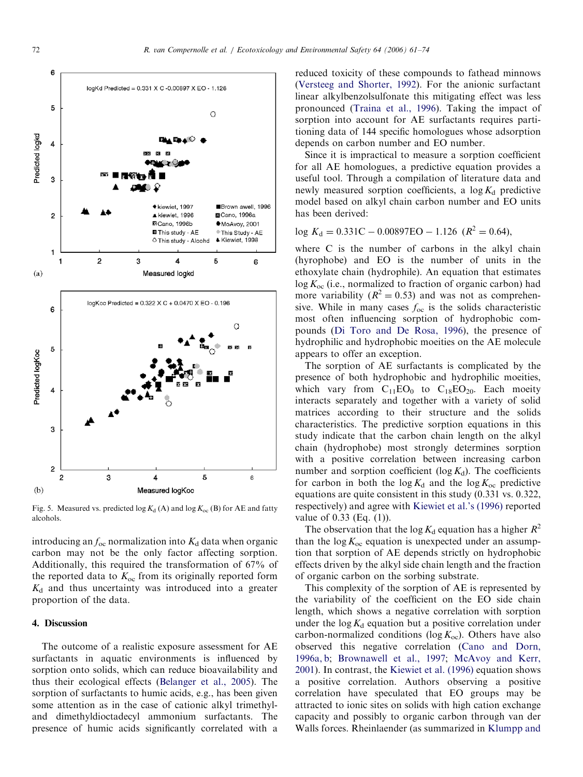<span id="page-11-0"></span>

Fig. 5. Measured vs. predicted  $log K_d$  (A) and  $log K_{oc}$  (B) for AE and fatty alcohols.

introducing an  $f_{\text{oc}}$  normalization into  $K_d$  data when organic carbon may not be the only factor affecting sorption. Additionally, this required the transformation of 67% of the reported data to  $K_{\text{oc}}$  from its originally reported form  $K_d$  and thus uncertainty was introduced into a greater proportion of the data.

# 4. Discussion

The outcome of a realistic exposure assessment for AE surfactants in aquatic environments is influenced by sorption onto solids, which can reduce bioavailability and thus their ecological effects [\(Belanger et al., 2005](#page-13-0)). The sorption of surfactants to humic acids, e.g., has been given some attention as in the case of cationic alkyl trimethyland dimethyldioctadecyl ammonium surfactants. The presence of humic acids significantly correlated with a reduced toxicity of these compounds to fathead minnows [\(Versteeg and Shorter, 1992](#page-13-0)). For the anionic surfactant linear alkylbenzolsulfonate this mitigating effect was less pronounced [\(Traina et al., 1996](#page-13-0)). Taking the impact of sorption into account for AE surfactants requires partitioning data of 144 specific homologues whose adsorption depends on carbon number and EO number.

Since it is impractical to measure a sorption coefficient for all AE homologues, a predictive equation provides a useful tool. Through a compilation of literature data and newly measured sorption coefficients, a  $\log K_d$  predictive model based on alkyl chain carbon number and EO units has been derived:

$$
\log K_d = 0.331 \text{C} - 0.00897 \text{EO} - 1.126 \text{ (R}^2 = 0.64),
$$

where C is the number of carbons in the alkyl chain (hyrophobe) and EO is the number of units in the ethoxylate chain (hydrophile). An equation that estimates  $\log K_{\text{oc}}$  (i.e., normalized to fraction of organic carbon) had more variability ( $R^2 = 0.53$ ) and was not as comprehensive. While in many cases  $f_{\text{oc}}$  is the solids characteristic most often influencing sorption of hydrophobic compounds ([Di Toro and De Rosa, 1996](#page-13-0)), the presence of hydrophilic and hydrophobic moeities on the AE molecule appears to offer an exception.

The sorption of AE surfactants is complicated by the presence of both hydrophobic and hydrophilic moeities, which vary from  $C_{11}EO_0$  to  $C_{18}EO_{20}$ . Each moeity interacts separately and together with a variety of solid matrices according to their structure and the solids characteristics. The predictive sorption equations in this study indicate that the carbon chain length on the alkyl chain (hydrophobe) most strongly determines sorption with a positive correlation between increasing carbon number and sorption coefficient ( $log K_d$ ). The coefficients for carbon in both the  $\log K_d$  and the  $\log K_{oc}$  predictive equations are quite consistent in this study (0.331 vs. 0.322, respectively) and agree with [Kiewiet et al.'s \(1996\)](#page-13-0) reported value of 0.33 (Eq. (1)).

The observation that the log  $K_d$  equation has a higher  $R^2$ than the  $\log K_{\text{oc}}$  equation is unexpected under an assumption that sorption of AE depends strictly on hydrophobic effects driven by the alkyl side chain length and the fraction of organic carbon on the sorbing substrate.

This complexity of the sorption of AE is represented by the variability of the coefficient on the EO side chain length, which shows a negative correlation with sorption under the  $\log K_d$  equation but a positive correlation under carbon-normalized conditions (log  $K_{\text{oc}}$ ). Others have also observed this negative correlation ([Cano and Dorn,](#page-13-0) [1996a, b;](#page-13-0) [Brownawell et al., 1997](#page-13-0); [McAvoy and Kerr,](#page-13-0) [2001\)](#page-13-0). In contrast, the [Kiewiet et al. \(1996\)](#page-13-0) equation shows a positive correlation. Authors observing a positive correlation have speculated that EO groups may be attracted to ionic sites on solids with high cation exchange capacity and possibly to organic carbon through van der Walls forces. Rheinlaender (as summarized in [Klumpp and](#page-13-0)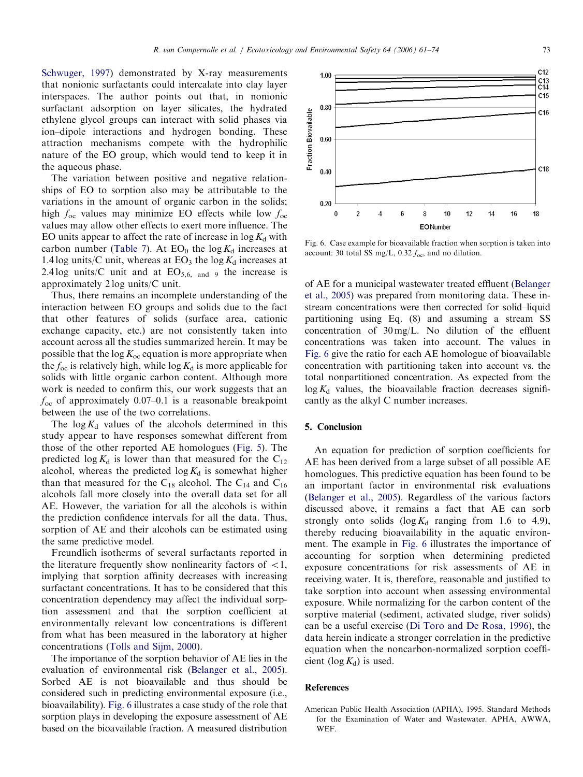<span id="page-12-0"></span>[Schwuger, 1997](#page-13-0)) demonstrated by X-ray measurements that nonionic surfactants could intercalate into clay layer interspaces. The author points out that, in nonionic surfactant adsorption on layer silicates, the hydrated ethylene glycol groups can interact with solid phases via ion–dipole interactions and hydrogen bonding. These attraction mechanisms compete with the hydrophilic nature of the EO group, which would tend to keep it in the aqueous phase.

The variation between positive and negative relationships of EO to sorption also may be attributable to the variations in the amount of organic carbon in the solids; high  $f_{\rm oc}$  values may minimize EO effects while low  $f_{\rm oc}$ values may allow other effects to exert more influence. The EO units appear to affect the rate of increase in  $\log K_d$  with carbon number [\(Table 7](#page-10-0)). At  $EO_0$  the log  $K_d$  increases at 1.4 log units/C unit, whereas at  $EO_3$  the log  $K_d$  increases at 2.4 log units/C unit and at  $EO_{5,6, \text{ and } 9}$  the increase is approximately 2 log units/C unit.

Thus, there remains an incomplete understanding of the interaction between EO groups and solids due to the fact that other features of solids (surface area, cationic exchange capacity, etc.) are not consistently taken into account across all the studies summarized herein. It may be possible that the  $\log K_{\rm oc}$  equation is more appropriate when the  $f_{\rm oc}$  is relatively high, while  $\log K_d$  is more applicable for solids with little organic carbon content. Although more work is needed to confirm this, our work suggests that an  $f_{\rm oc}$  of approximately 0.07–0.1 is a reasonable breakpoint between the use of the two correlations.

The  $\log K_d$  values of the alcohols determined in this study appear to have responses somewhat different from those of the other reported AE homologues ([Fig. 5](#page-11-0)). The predicted  $\log K_d$  is lower than that measured for the C<sub>12</sub> alcohol, whereas the predicted  $\log K_d$  is somewhat higher than that measured for the C<sub>18</sub> alcohol. The C<sub>14</sub> and C<sub>16</sub> alcohols fall more closely into the overall data set for all AE. However, the variation for all the alcohols is within the prediction confidence intervals for all the data. Thus, sorption of AE and their alcohols can be estimated using the same predictive model.

Freundlich isotherms of several surfactants reported in the literature frequently show nonlinearity factors of  $\langle 1, \rangle$ implying that sorption affinity decreases with increasing surfactant concentrations. It has to be considered that this concentration dependency may affect the individual sorption assessment and that the sorption coefficient at environmentally relevant low concentrations is different from what has been measured in the laboratory at higher concentrations ([Tolls and Sijm, 2000](#page-13-0)).

The importance of the sorption behavior of AE lies in the evaluation of environmental risk [\(Belanger et al., 2005\)](#page-13-0). Sorbed AE is not bioavailable and thus should be considered such in predicting environmental exposure (i.e., bioavailability). Fig. 6 illustrates a case study of the role that sorption plays in developing the exposure assessment of AE based on the bioavailable fraction. A measured distribution



Fig. 6. Case example for bioavailable fraction when sorption is taken into account: 30 total SS mg/L,  $0.32 f_{\text{oc}}$ , and no dilution.

of AE for a municipal wastewater treated effluent ([Belanger](#page-13-0) [et al., 2005](#page-13-0)) was prepared from monitoring data. These instream concentrations were then corrected for solid–liquid partitioning using Eq. (8) and assuming a stream SS concentration of 30 mg/L. No dilution of the effluent concentrations was taken into account. The values in Fig. 6 give the ratio for each AE homologue of bioavailable concentration with partitioning taken into account vs. the total nonpartitioned concentration. As expected from the  $\log K_d$  values, the bioavailable fraction decreases significantly as the alkyl C number increases.

# 5. Conclusion

An equation for prediction of sorption coefficients for AE has been derived from a large subset of all possible AE homologues. This predictive equation has been found to be an important factor in environmental risk evaluations ([Belanger et al., 2005](#page-13-0)). Regardless of the various factors discussed above, it remains a fact that AE can sorb strongly onto solids ( $\log K_d$  ranging from 1.6 to 4.9), thereby reducing bioavailability in the aquatic environment. The example in Fig. 6 illustrates the importance of accounting for sorption when determining predicted exposure concentrations for risk assessments of AE in receiving water. It is, therefore, reasonable and justified to take sorption into account when assessing environmental exposure. While normalizing for the carbon content of the sorptive material (sediment, activated sludge, river solids) can be a useful exercise ([Di Toro and De Rosa, 1996](#page-13-0)), the data herein indicate a stronger correlation in the predictive equation when the noncarbon-normalized sorption coefficient (log  $K_d$ ) is used.

## References

American Public Health Association (APHA), 1995. Standard Methods for the Examination of Water and Wastewater. APHA, AWWA, WEF.